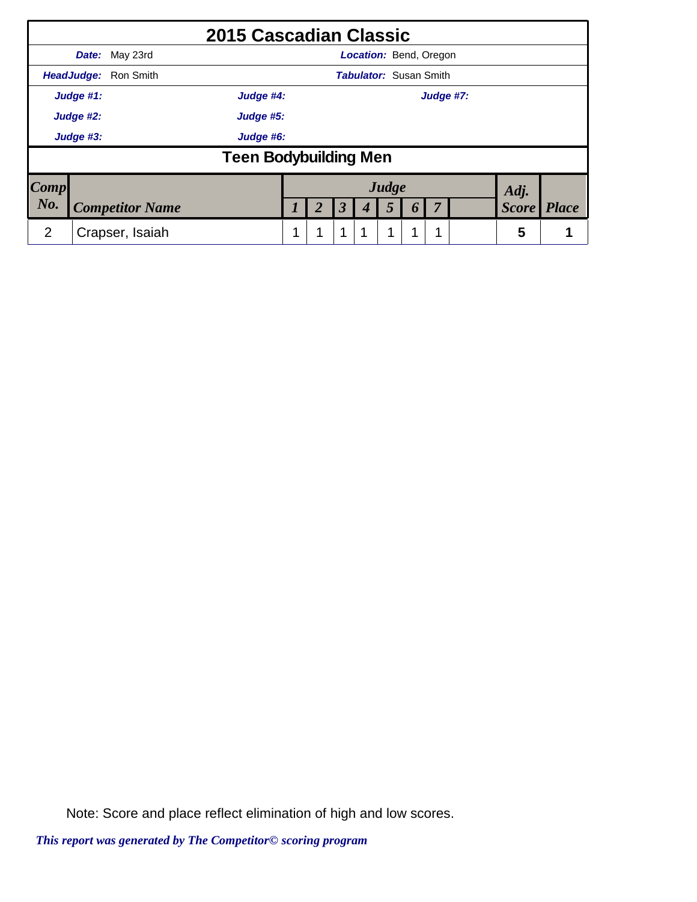|             |           | 2015 Cascadian Classic       |           |   |                      |                               |       |          |           |  |              |              |
|-------------|-----------|------------------------------|-----------|---|----------------------|-------------------------------|-------|----------|-----------|--|--------------|--------------|
|             | Date:     | May 23rd                     |           |   |                      | <b>Location: Bend, Oregon</b> |       |          |           |  |              |              |
|             |           | HeadJudge: Ron Smith         |           |   |                      | <b>Tabulator: Susan Smith</b> |       |          |           |  |              |              |
|             | Judge #1: | Judge #4:                    |           |   |                      |                               |       |          | Judge #7: |  |              |              |
|             | Judge #2: |                              | Judge #5: |   |                      |                               |       |          |           |  |              |              |
|             | Judge #3: |                              | Judge #6: |   |                      |                               |       |          |           |  |              |              |
|             |           | <b>Teen Bodybuilding Men</b> |           |   |                      |                               |       |          |           |  |              |              |
| <b>Comp</b> |           |                              |           |   |                      |                               | Judge |          |           |  | Adj.         |              |
| No.         |           | <b>Competitor Name</b>       |           |   | $\boldsymbol{\beta}$ | 4                             | 5     | $\bm{0}$ | -7        |  | <b>Score</b> | <b>Place</b> |
| 2           |           | Crapser, Isaiah              |           | 1 | 1                    |                               |       | л        | ↑         |  | 5            |              |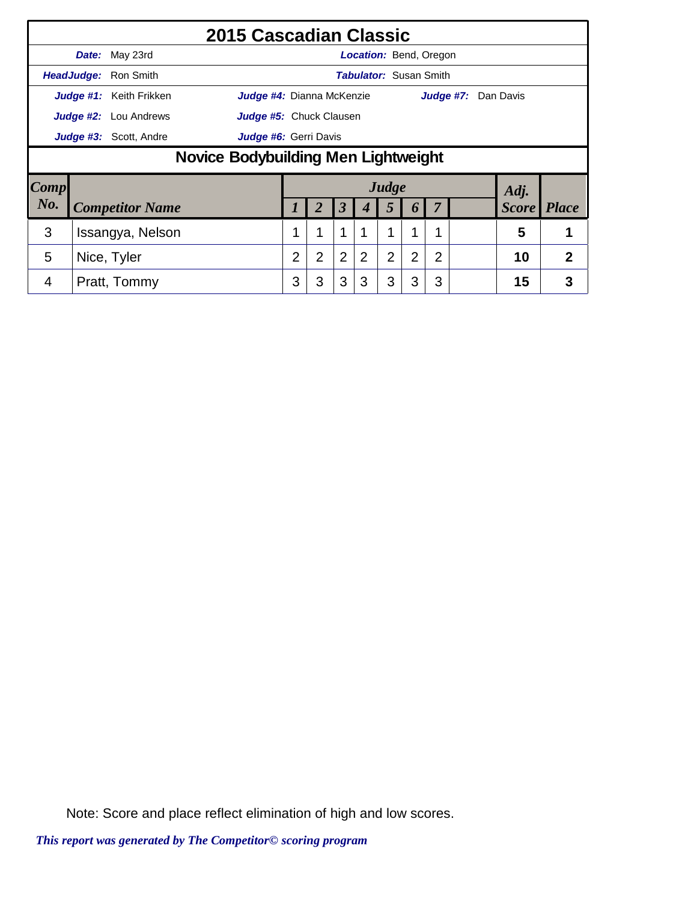|      |                                            |                              | 2015 Cascadian Classic           |   |                       |                      |                               |                |                |                |  |                     |              |
|------|--------------------------------------------|------------------------------|----------------------------------|---|-----------------------|----------------------|-------------------------------|----------------|----------------|----------------|--|---------------------|--------------|
|      |                                            | Date: May 23rd               |                                  |   |                       |                      | <b>Location: Bend, Oregon</b> |                |                |                |  |                     |              |
|      |                                            | HeadJudge: Ron Smith         |                                  |   |                       |                      | <b>Tabulator: Susan Smith</b> |                |                |                |  |                     |              |
|      |                                            | Judge #1: Keith Frikken      | <b>Judge #4:</b> Dianna McKenzie |   |                       |                      |                               |                |                |                |  | Judge #7: Dan Davis |              |
|      |                                            | <b>Judge #2:</b> Lou Andrews | Judge #5: Chuck Clausen          |   |                       |                      |                               |                |                |                |  |                     |              |
|      | <b>Judge #3:</b> Scott, Andre              |                              |                                  |   | Judge #6: Gerri Davis |                      |                               |                |                |                |  |                     |              |
|      | <b>Novice Bodybuilding Men Lightweight</b> |                              |                                  |   |                       |                      |                               |                |                |                |  |                     |              |
| Comp |                                            |                              |                                  |   |                       |                      |                               | Judge          |                |                |  | Adj.                |              |
| No.  |                                            | <b>Competitor Name</b>       |                                  |   | 2                     | $\boldsymbol{\beta}$ | $\boldsymbol{4}$              | 5              | 6              | 7              |  | <b>Score</b> Place  |              |
| 3    |                                            | Issangya, Nelson             |                                  |   | 1                     | $\mathbf 1$          |                               |                | 1              |                |  | 5                   |              |
| 5    |                                            | Nice, Tyler                  |                                  | 2 | $\overline{2}$        | $\overline{2}$       | $\overline{2}$                | $\overline{2}$ | $\overline{2}$ | $\overline{2}$ |  | 10                  | $\mathbf{2}$ |
| 4    |                                            | Pratt, Tommy                 |                                  | 3 | 3                     | 3                    | 3                             | 3              | 3              | 3              |  | 15                  | 3            |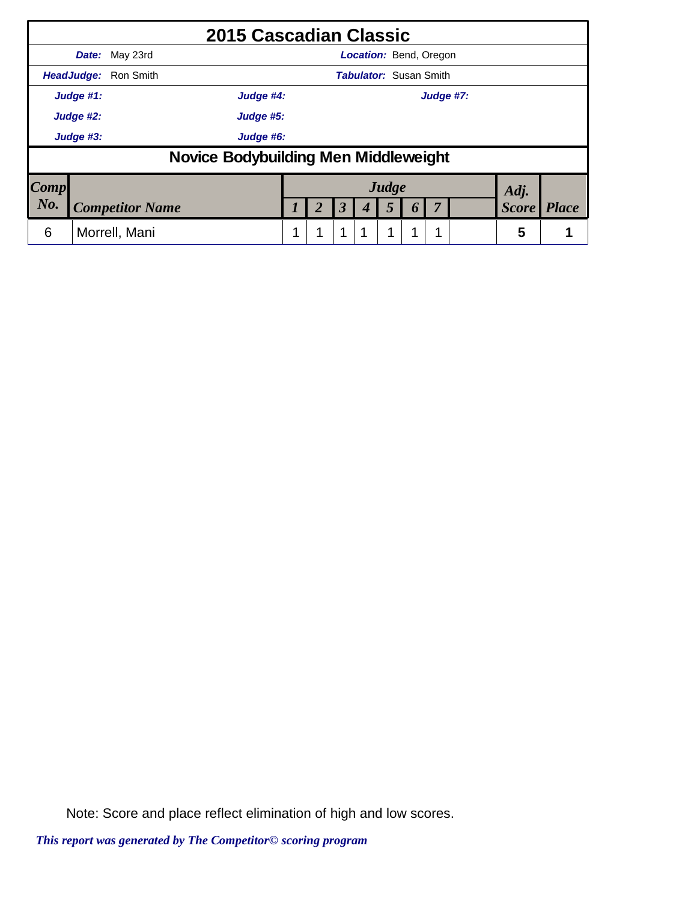|      |                        |                             | <b>2015 Cascadian Classic</b>               |           |   |                      |   |                               |          |           |              |              |
|------|------------------------|-----------------------------|---------------------------------------------|-----------|---|----------------------|---|-------------------------------|----------|-----------|--------------|--------------|
|      |                        | <b>Date:</b> May 23rd       |                                             |           |   |                      |   | <b>Location: Bend, Oregon</b> |          |           |              |              |
|      |                        | <b>HeadJudge: Ron Smith</b> |                                             |           |   |                      |   | <b>Tabulator: Susan Smith</b> |          |           |              |              |
|      | Judge #1:              |                             |                                             | Judge #4: |   |                      |   |                               |          | Judge #7: |              |              |
|      | Judge #2:<br>Judge #5: |                             |                                             |           |   |                      |   |                               |          |           |              |              |
|      | Judge #6:<br>Judge #3: |                             |                                             |           |   |                      |   |                               |          |           |              |              |
|      |                        |                             | <b>Novice Bodybuilding Men Middleweight</b> |           |   |                      |   |                               |          |           |              |              |
| Comp |                        |                             |                                             |           |   |                      |   | Judge                         |          |           | Adj.         |              |
| No.  |                        | <b>Competitor Name</b>      |                                             |           | 2 | $\boldsymbol{\beta}$ | 4 | 5                             | $\bm{b}$ |           | <b>Score</b> | <b>Place</b> |
| 6    |                        | Morrell, Mani               |                                             |           |   | 1                    |   | 1                             | ٠        |           | 5            |              |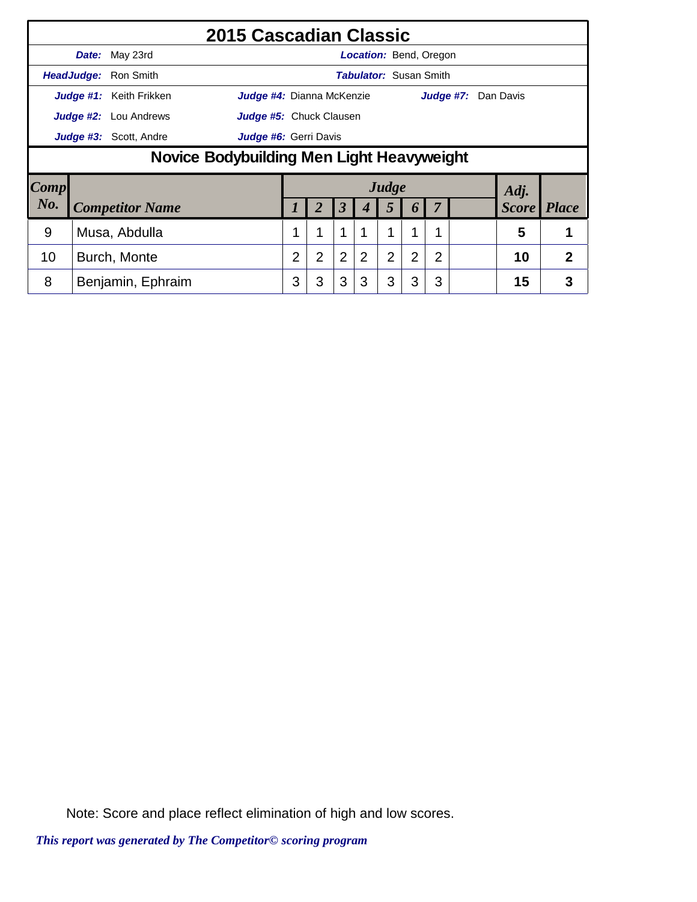|      |                                                  |                              | 2015 Cascadian Classic    |                |                       |                      |                               |                |                |                |  |                     |              |
|------|--------------------------------------------------|------------------------------|---------------------------|----------------|-----------------------|----------------------|-------------------------------|----------------|----------------|----------------|--|---------------------|--------------|
|      |                                                  | Date: May 23rd               |                           |                |                       |                      | <b>Location: Bend, Oregon</b> |                |                |                |  |                     |              |
|      |                                                  | HeadJudge: Ron Smith         |                           |                |                       |                      | <b>Tabulator: Susan Smith</b> |                |                |                |  |                     |              |
|      |                                                  | Judge #1: Keith Frikken      | Judge #4: Dianna McKenzie |                |                       |                      |                               |                |                |                |  | Judge #7: Dan Davis |              |
|      |                                                  | <b>Judge #2:</b> Lou Andrews | Judge #5: Chuck Clausen   |                |                       |                      |                               |                |                |                |  |                     |              |
|      | Judge #3: Scott, Andre                           |                              |                           |                | Judge #6: Gerri Davis |                      |                               |                |                |                |  |                     |              |
|      | <b>Novice Bodybuilding Men Light Heavyweight</b> |                              |                           |                |                       |                      |                               |                |                |                |  |                     |              |
| Comp |                                                  |                              |                           |                |                       |                      |                               | Judge          |                |                |  | Adj.                |              |
| No.  |                                                  | <b>Competitor Name</b>       |                           |                | 2                     | $\boldsymbol{\beta}$ | 4                             | 5              | 6              | 7              |  | <b>Score</b>        | <i>Place</i> |
| 9    |                                                  | Musa, Abdulla                |                           |                | 1                     | 1                    |                               |                |                |                |  | 5                   |              |
| 10   |                                                  | Burch, Monte                 |                           | $\overline{2}$ | $\overline{2}$        | $\overline{2}$       | $\overline{2}$                | $\overline{2}$ | $\overline{2}$ | $\overline{2}$ |  | 10                  | 2            |
| 8    |                                                  | Benjamin, Ephraim            |                           | 3              | 3                     | 3                    | 3                             | 3              | 3              | 3              |  | 15                  | 3            |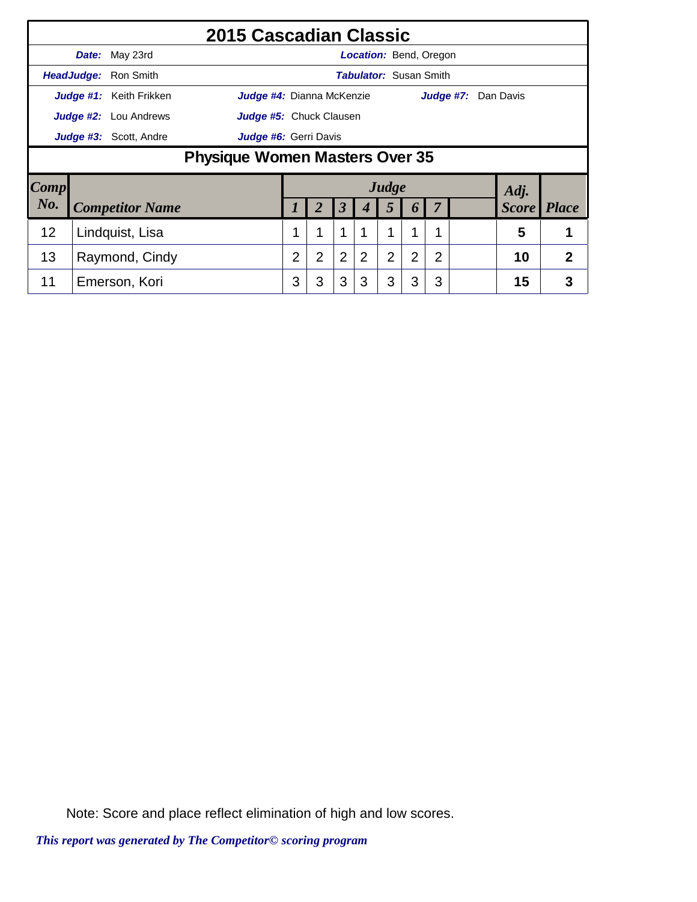|      |       |                              | <b>2015 Cascadian Classic</b>         |   |                |                      |                |                               |                |                |  |                     |              |
|------|-------|------------------------------|---------------------------------------|---|----------------|----------------------|----------------|-------------------------------|----------------|----------------|--|---------------------|--------------|
|      | Date: | May 23rd                     |                                       |   |                |                      |                | <b>Location: Bend, Oregon</b> |                |                |  |                     |              |
|      |       | HeadJudge: Ron Smith         |                                       |   |                |                      |                | <b>Tabulator: Susan Smith</b> |                |                |  |                     |              |
|      |       | Judge #1: Keith Frikken      | Judge #4: Dianna McKenzie             |   |                |                      |                |                               |                |                |  | Judge #7: Dan Davis |              |
|      |       | <b>Judge #2:</b> Lou Andrews | Judge #5: Chuck Clausen               |   |                |                      |                |                               |                |                |  |                     |              |
|      |       | Judge #3: Scott, Andre       | Judge #6: Gerri Davis                 |   |                |                      |                |                               |                |                |  |                     |              |
|      |       |                              | <b>Physique Women Masters Over 35</b> |   |                |                      |                |                               |                |                |  |                     |              |
| Comp |       |                              |                                       |   |                |                      |                | Judge                         |                |                |  | Adj.                |              |
| No.  |       | <b>Competitor Name</b>       |                                       | 1 | 2              | $\boldsymbol{\beta}$ |                | 5                             | 6              |                |  | <b>Score</b>        | <b>Place</b> |
| 12   |       | Lindquist, Lisa              |                                       |   | 1              | $\mathbf 1$          |                | 1                             |                |                |  | 5                   |              |
| 13   |       | Raymond, Cindy               |                                       | 2 | $\overline{2}$ | $\overline{2}$       | $\overline{2}$ | $\overline{2}$                | $\overline{2}$ | $\overline{2}$ |  | 10                  | $\mathbf{2}$ |
| 11   |       | Emerson, Kori                |                                       | 3 | 3              | 3                    | 3              | 3                             | 3              | 3              |  | 15                  | 3            |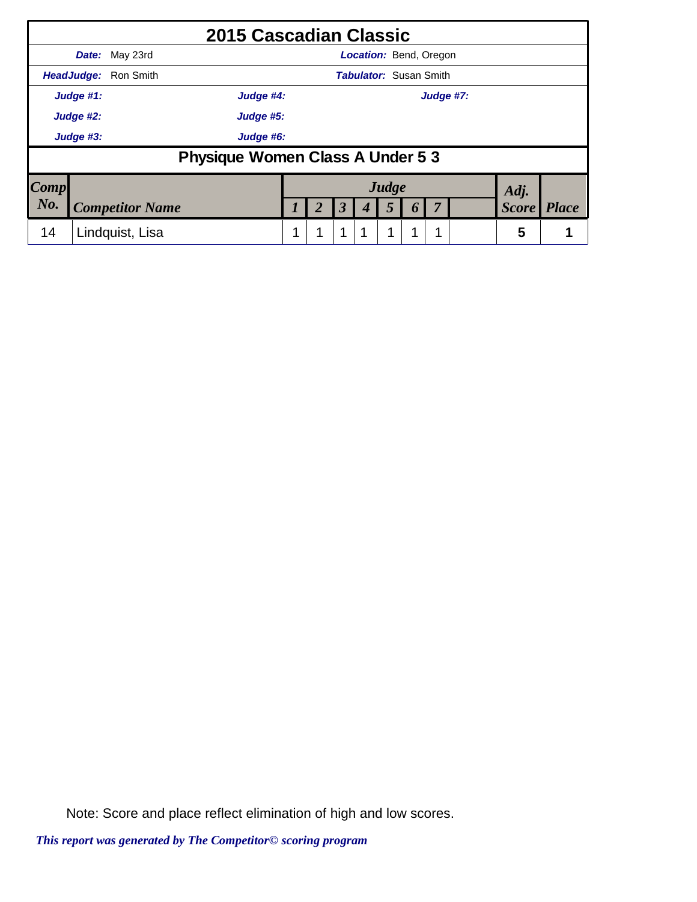|      |                        | 2015 Cascadian Classic                  |  |                      |                               |                  |           |              |              |
|------|------------------------|-----------------------------------------|--|----------------------|-------------------------------|------------------|-----------|--------------|--------------|
|      |                        | <b>Date:</b> May 23rd                   |  |                      | <b>Location: Bend, Oregon</b> |                  |           |              |              |
|      |                        | HeadJudge: Ron Smith                    |  |                      | <b>Tabulator: Susan Smith</b> |                  |           |              |              |
|      | Judge #1:              | Judge #4:                               |  |                      |                               |                  | Judge #7: |              |              |
|      | Judge #2:<br>Judge #5: |                                         |  |                      |                               |                  |           |              |              |
|      | Judge #3:              | Judge #6:                               |  |                      |                               |                  |           |              |              |
|      |                        | <b>Physique Women Class A Under 5 3</b> |  |                      |                               |                  |           |              |              |
| Comp |                        |                                         |  |                      | Judge                         |                  |           | Adj.         |              |
| No.  |                        | <b>Competitor Name</b>                  |  | $\boldsymbol{\beta}$ | 5                             | $\boldsymbol{0}$ |           | <b>Score</b> | <b>Place</b> |
| 14   |                        | Lindquist, Lisa                         |  | 1                    | 1                             |                  |           | 5            |              |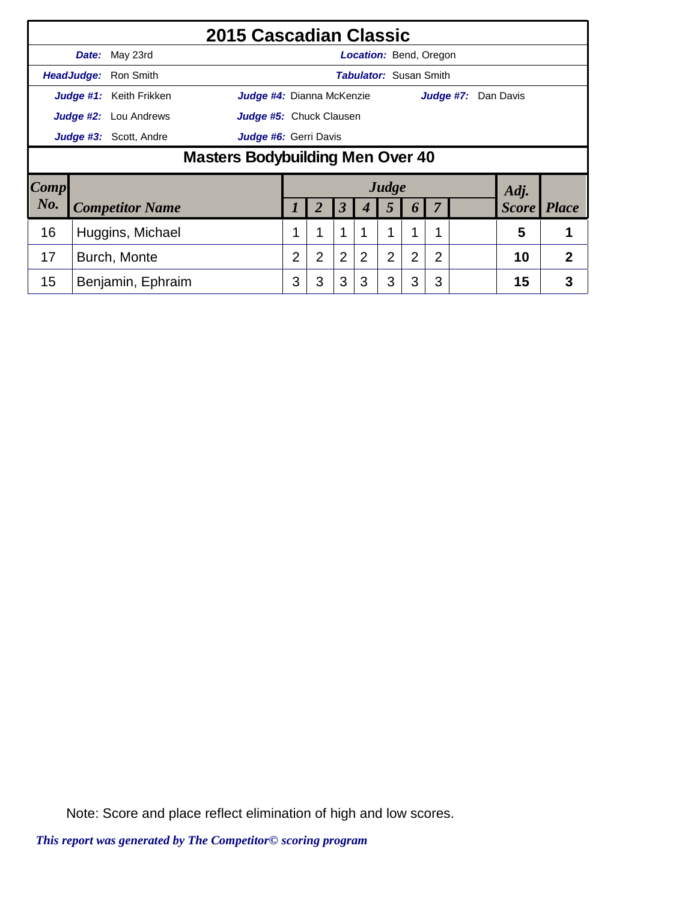|      |                              | 2015 Cascadian Classic                  |                |                |                |                               |                |                       |                |           |              |              |
|------|------------------------------|-----------------------------------------|----------------|----------------|----------------|-------------------------------|----------------|-----------------------|----------------|-----------|--------------|--------------|
|      | Date: May 23rd               |                                         |                |                |                | <b>Location: Bend, Oregon</b> |                |                       |                |           |              |              |
|      | HeadJudge: Ron Smith         |                                         |                |                |                | <b>Tabulator: Susan Smith</b> |                |                       |                |           |              |              |
|      | Judge #1: Keith Frikken      | Judge #4: Dianna McKenzie               |                |                |                |                               |                |                       |                | Judge #7: | Dan Davis    |              |
|      | <b>Judge #2:</b> Lou Andrews | <b>Judge #5:</b> Chuck Clausen          |                |                |                |                               |                |                       |                |           |              |              |
|      | Judge #3: Scott, Andre       | Judge #6: Gerri Davis                   |                |                |                |                               |                |                       |                |           |              |              |
|      |                              | <b>Masters Bodybuilding Men Over 40</b> |                |                |                |                               |                |                       |                |           |              |              |
| Comp |                              |                                         |                |                |                |                               | Judge          |                       |                |           | Adj.         |              |
| No.  | <b>Competitor Name</b>       |                                         |                | 2              | 3              |                               | 5              | $\boldsymbol{\theta}$ | 7              |           | <b>Score</b> | <b>Place</b> |
| 16   | Huggins, Michael             |                                         | 1              | 1              | 1              |                               | 1              | 1                     | 4              |           | 5            |              |
| 17   | Burch, Monte                 |                                         | $\overline{2}$ | $\overline{2}$ | $\overline{2}$ | $\overline{2}$                | $\overline{2}$ | $\overline{2}$        | $\overline{2}$ |           | 10           | $\mathbf{2}$ |
| 15   | Benjamin, Ephraim            |                                         | 3              | 3              | 3              | 3                             | 3              | 3                     | 3              |           | 15           | 3            |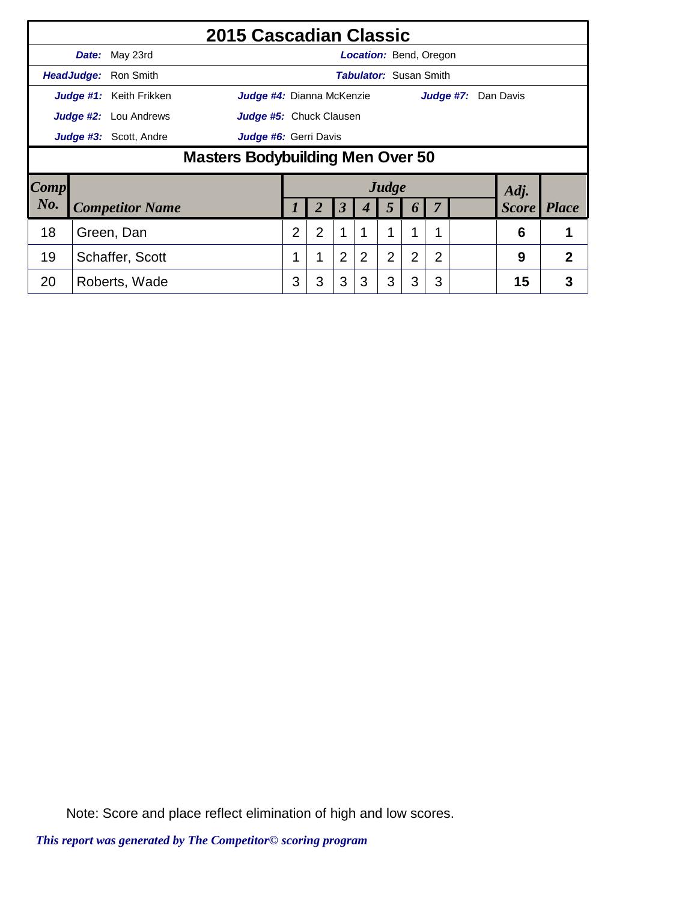|      |                                                                  |                              | 2015 Cascadian Classic         |                |                |                |                               |                |   |                |           |              |              |
|------|------------------------------------------------------------------|------------------------------|--------------------------------|----------------|----------------|----------------|-------------------------------|----------------|---|----------------|-----------|--------------|--------------|
|      |                                                                  | Date: May 23rd               |                                |                |                |                | <b>Location: Bend, Oregon</b> |                |   |                |           |              |              |
|      |                                                                  | HeadJudge: Ron Smith         |                                |                |                |                | <b>Tabulator: Susan Smith</b> |                |   |                |           |              |              |
|      |                                                                  | Judge #1: Keith Frikken      | Judge #4: Dianna McKenzie      |                |                |                |                               |                |   |                | Judge #7: | Dan Davis    |              |
|      |                                                                  | <b>Judge #2:</b> Lou Andrews | <b>Judge #5:</b> Chuck Clausen |                |                |                |                               |                |   |                |           |              |              |
|      | Judge #3: Scott, Andre                                           |                              |                                |                |                |                |                               |                |   |                |           |              |              |
|      | Judge #6: Gerri Davis<br><b>Masters Bodybuilding Men Over 50</b> |                              |                                |                |                |                |                               |                |   |                |           |              |              |
| Comp |                                                                  |                              |                                |                |                |                |                               | Judge          |   |                |           | Adj.         |              |
| No.  |                                                                  | <b>Competitor Name</b>       |                                |                |                | 3              |                               | 5              | 6 | 7              |           | <b>Score</b> | <b>Place</b> |
| 18   |                                                                  | Green, Dan                   |                                | $\overline{2}$ | $\overline{2}$ | 1              |                               | 1              | 1 |                |           | 6            |              |
| 19   |                                                                  | Schaffer, Scott              |                                | 1              | 1              | $\overline{2}$ | 2                             | $\overline{2}$ | 2 | $\overline{2}$ |           | 9            | 2            |
| 20   |                                                                  | Roberts, Wade                |                                | 3              | 3              | 3              | 3                             | 3              | 3 | 3              |           | 15           | 3            |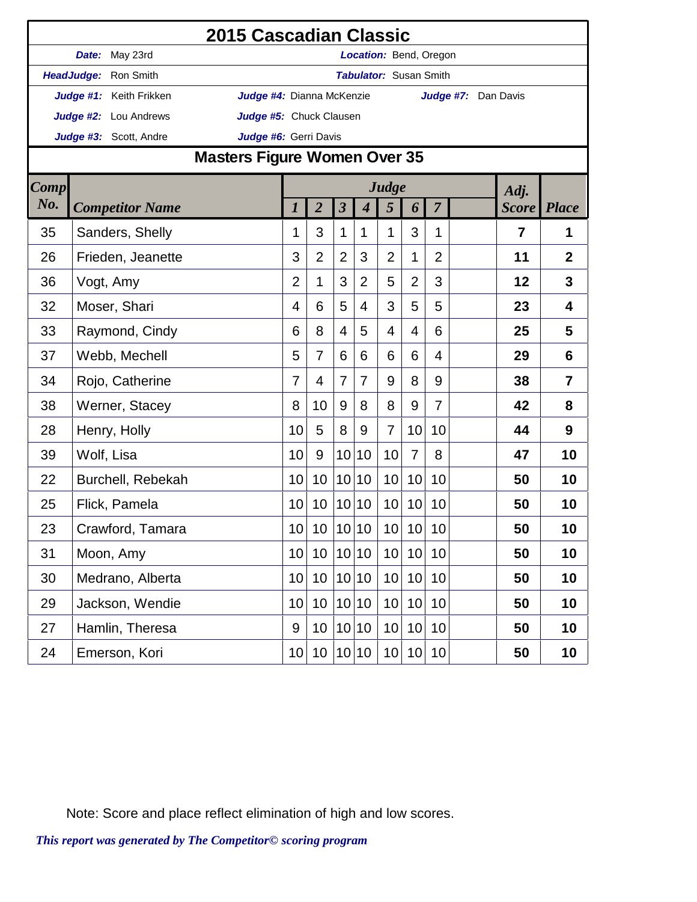|             |                         | 2015 Cascadian Classic              |                |                 |                 |                  |                               |                 |                |                     |                |                |
|-------------|-------------------------|-------------------------------------|----------------|-----------------|-----------------|------------------|-------------------------------|-----------------|----------------|---------------------|----------------|----------------|
|             | Date: May 23rd          |                                     |                |                 |                 |                  | Location: Bend, Oregon        |                 |                |                     |                |                |
|             | HeadJudge: Ron Smith    |                                     |                |                 |                 |                  | <b>Tabulator: Susan Smith</b> |                 |                |                     |                |                |
|             | Judge #1: Keith Frikken | Judge #4: Dianna McKenzie           |                |                 |                 |                  |                               |                 |                | Judge #7: Dan Davis |                |                |
|             | Judge #2: Lou Andrews   | Judge #5: Chuck Clausen             |                |                 |                 |                  |                               |                 |                |                     |                |                |
|             | Judge #3: Scott, Andre  | Judge #6: Gerri Davis               |                |                 |                 |                  |                               |                 |                |                     |                |                |
|             |                         | <b>Masters Figure Women Over 35</b> |                |                 |                 |                  |                               |                 |                |                     |                |                |
| <b>Comp</b> |                         |                                     |                |                 |                 |                  | Judge                         |                 |                |                     | Adj.           |                |
| No.         | <b>Competitor Name</b>  |                                     | 1              | $\overline{2}$  | $\mathfrak{z}$  | $\boldsymbol{4}$ | 5                             | 6               | $\overline{7}$ |                     | <b>Score</b>   | <b>Place</b>   |
| 35          | Sanders, Shelly         |                                     | 1              | 3               | 1               | $\mathbf 1$      | 1                             | 3               | 1              |                     | $\overline{7}$ | 1              |
| 26          | Frieden, Jeanette       |                                     | 3              | $\overline{2}$  | $\overline{2}$  | 3                | $\overline{2}$                | 1               | $\overline{2}$ |                     | 11             | $\overline{2}$ |
| 36          | Vogt, Amy               |                                     | $\overline{2}$ | 1               | 3               | $\overline{2}$   | 5                             | $\overline{2}$  | 3              |                     | 12             | 3              |
| 32          | Moser, Shari            |                                     | 4              | 6               | 5               | $\overline{4}$   | 3                             | 5               | 5              |                     | 23             | 4              |
| 33          | Raymond, Cindy          |                                     | 6              | 8               | 4               | 5                | 4                             | 4               | 6              |                     | 25             | 5              |
| 37          | Webb, Mechell           |                                     | 5              | 7               | 6               | 6                | 6                             | 6               | 4              |                     | 29             | 6              |
| 34          | Rojo, Catherine         |                                     | $\overline{7}$ | 4               | 7               | $\overline{7}$   | 9                             | 8               | 9              |                     | 38             | $\overline{7}$ |
| 38          | Werner, Stacey          |                                     | 8              | 10              | 9               | 8                | 8                             | 9               | $\overline{7}$ |                     | 42             | 8              |
| 28          | Henry, Holly            |                                     | 10             | 5               | 8               | 9                | $\overline{7}$                | 10              | 10             |                     | 44             | 9              |
| 39          | Wolf, Lisa              |                                     | 10             | 9               | 10 <sup>1</sup> | 10               | 10                            | $\overline{7}$  | 8              |                     | 47             | 10             |
| 22          | Burchell, Rebekah       |                                     | 10             | 10              | 10              | 10               | 10                            | 10              | 10             |                     | 50             | 10             |
| 25          | Flick, Pamela           |                                     | 10             | 10 <sup>°</sup> |                 | 10 10            | 10                            | 10              | 10             |                     | 50             | 10             |
| 23          | Crawford, Tamara        |                                     | 10             | 10 <sup>°</sup> |                 | 10 10            | 10                            | 10              | 10             |                     | 50             | 10             |
| 31          | Moon, Amy               |                                     | 10             | 10 <sup>°</sup> |                 | 10 10            | 10                            | 10 <sup>1</sup> | 10             |                     | 50             | 10             |
| 30          | Medrano, Alberta        |                                     | 10             | 10 <sup>°</sup> |                 | 10 10            | 10                            | 10              | 10             |                     | 50             | 10             |
| 29          | Jackson, Wendie         |                                     | 10             | 10              |                 | 10 10            | 10                            | 10              | 10             |                     | 50             | 10             |
| 27          | Hamlin, Theresa         |                                     | 9              | 10 <sup>°</sup> |                 | 10 10            | 10                            | 10              | 10             |                     | 50             | 10             |
| 24          | Emerson, Kori           |                                     | 10             | 10 <sup>°</sup> |                 | 10 10            | 10 <sup>1</sup>               |                 | 10 10          |                     | 50             | 10             |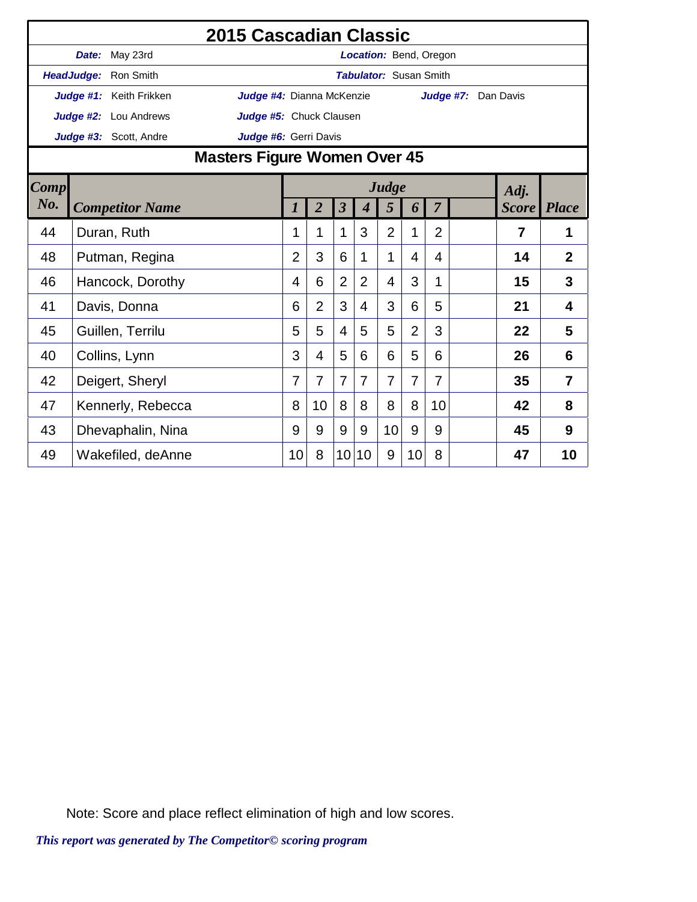|             |                         | <b>2015 Cascadian Classic</b>       |                |                |                         |                               |                |                |                |                     |              |                |
|-------------|-------------------------|-------------------------------------|----------------|----------------|-------------------------|-------------------------------|----------------|----------------|----------------|---------------------|--------------|----------------|
|             | Date: May 23rd          |                                     |                |                |                         | Location: Bend, Oregon        |                |                |                |                     |              |                |
|             | HeadJudge: Ron Smith    |                                     |                |                |                         | <b>Tabulator: Susan Smith</b> |                |                |                |                     |              |                |
|             | Judge #1: Keith Frikken | Judge #4: Dianna McKenzie           |                |                |                         |                               |                |                |                | Judge #7: Dan Davis |              |                |
|             | Judge #2: Lou Andrews   | Judge #5: Chuck Clausen             |                |                |                         |                               |                |                |                |                     |              |                |
|             | Judge #3: Scott, Andre  | Judge #6: Gerri Davis               |                |                |                         |                               |                |                |                |                     |              |                |
|             |                         | <b>Masters Figure Women Over 45</b> |                |                |                         |                               |                |                |                |                     |              |                |
| <b>Comp</b> |                         |                                     |                |                |                         |                               | Judge          |                |                |                     | Adj.         |                |
| No.         | <b>Competitor Name</b>  |                                     | 1              | $\overline{2}$ | $\overline{\mathbf{3}}$ | $\boldsymbol{4}$              | 5              | 6              | $\overline{7}$ |                     | <b>Score</b> | <b>Place</b>   |
| 44          | Duran, Ruth             |                                     | 1              | 1              | 1                       | 3                             | $\overline{2}$ | 1              | $\overline{2}$ |                     | 7            | 1              |
| 48          | Putman, Regina          |                                     | $\overline{2}$ | 3              | 6                       | 1                             | 1              | 4              | 4              |                     | 14           | $\overline{2}$ |
| 46          | Hancock, Dorothy        |                                     | 4              | 6              | $\overline{2}$          | $\overline{2}$                | 4              | 3              | $\mathbf 1$    |                     | 15           | 3              |
| 41          | Davis, Donna            |                                     | 6              | $\overline{2}$ | 3                       | 4                             | 3              | 6              | 5              |                     | 21           | 4              |
| 45          | Guillen, Terrilu        |                                     | 5              | 5              | 4                       | 5                             | 5              | $\overline{2}$ | 3              |                     | 22           | 5              |
| 40          | Collins, Lynn           |                                     | 3              | 4              | 5                       | 6                             | 6              | 5              | 6              |                     | 26           | 6              |
| 42          | Deigert, Sheryl         |                                     | 7              | $\overline{7}$ | $\overline{7}$          | $\overline{7}$                | $\overline{7}$ | 7              | 7              |                     | 35           | 7              |
| 47          | Kennerly, Rebecca       |                                     | 8              | 10             | 8                       | 8                             | 8              | 8              | 10             |                     | 42           | 8              |
| 43          | Dhevaphalin, Nina       |                                     | 9              | 9              | 9                       | 9                             | 10             | 9              | 9              |                     | 45           | 9              |
| 49          | Wakefiled, deAnne       |                                     | 10             | 8              | 10                      | 10                            | 9              | 10             | 8              |                     | 47           | 10             |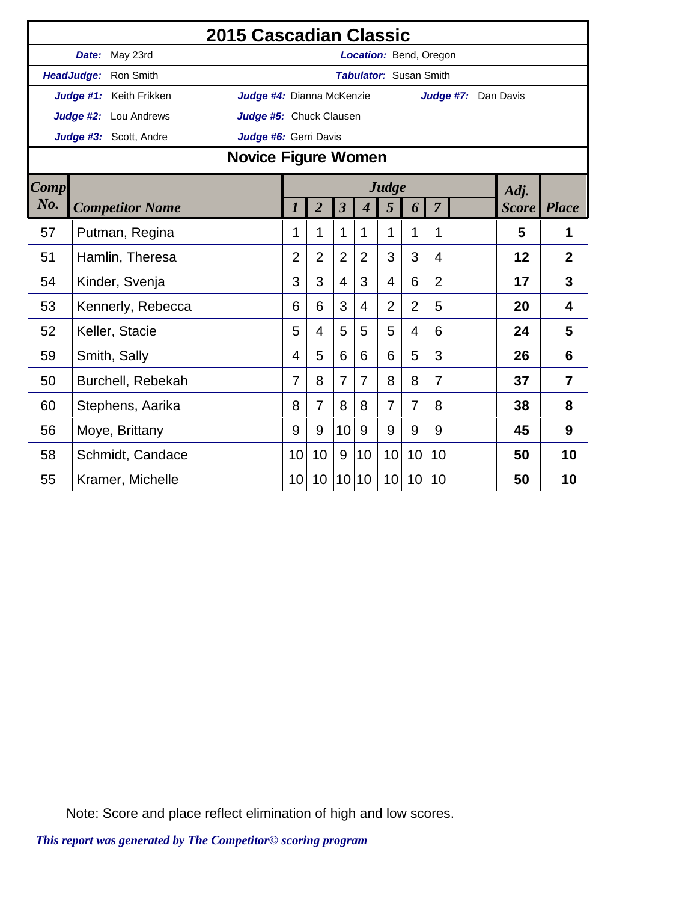|             |                         | 2015 Cascadian Classic     |                  |                |                         |                  |                               |                |                |                     |              |                |
|-------------|-------------------------|----------------------------|------------------|----------------|-------------------------|------------------|-------------------------------|----------------|----------------|---------------------|--------------|----------------|
|             | Date: May 23rd          |                            |                  |                |                         |                  | Location: Bend, Oregon        |                |                |                     |              |                |
|             | HeadJudge: Ron Smith    |                            |                  |                |                         |                  | <b>Tabulator: Susan Smith</b> |                |                |                     |              |                |
|             | Judge #1: Keith Frikken | Judge #4: Dianna McKenzie  |                  |                |                         |                  |                               |                |                | Judge #7: Dan Davis |              |                |
|             | Judge #2: Lou Andrews   | Judge #5: Chuck Clausen    |                  |                |                         |                  |                               |                |                |                     |              |                |
|             | Judge #3: Scott, Andre  | Judge #6: Gerri Davis      |                  |                |                         |                  |                               |                |                |                     |              |                |
|             |                         | <b>Novice Figure Women</b> |                  |                |                         |                  |                               |                |                |                     |              |                |
| <b>Comp</b> |                         |                            |                  |                |                         |                  | Judge                         |                |                |                     | Adj.         |                |
| No.         | <b>Competitor Name</b>  |                            | $\boldsymbol{l}$ | $\overline{2}$ | $\overline{\mathbf{3}}$ | $\boldsymbol{4}$ | 5                             | 6              | $\overline{7}$ |                     | <b>Score</b> | <b>Place</b>   |
| 57          | Putman, Regina          |                            | 1                | 1              | 1                       | 1                | 1                             | 1              | 1              |                     | 5            | 1              |
| 51          | Hamlin, Theresa         |                            | 2                | $\overline{2}$ | $\overline{2}$          | $\overline{2}$   | 3                             | 3              | 4              |                     | 12           | $\overline{2}$ |
| 54          | Kinder, Svenja          |                            | 3                | 3              | $\overline{4}$          | 3                | 4                             | 6              | $\overline{2}$ |                     | 17           | 3              |
| 53          | Kennerly, Rebecca       |                            | 6                | 6              | 3                       | 4                | $\overline{2}$                | $\overline{2}$ | 5              |                     | 20           | 4              |
| 52          | Keller, Stacie          |                            | 5                | 4              | 5                       | 5                | 5                             | $\overline{4}$ | 6              |                     | 24           | 5              |
| 59          | Smith, Sally            |                            | 4                | 5              | 6                       | 6                | 6                             | 5              | 3              |                     | 26           | 6              |
| 50          | Burchell, Rebekah       |                            | 7                | 8              | $\overline{7}$          | 7                | 8                             | 8              | 7              |                     | 37           | $\overline{7}$ |
| 60          | Stephens, Aarika        |                            | 8                | $\overline{7}$ | 8                       | 8                | $\overline{7}$                | $\overline{7}$ | 8              |                     | 38           | 8              |
| 56          | Moye, Brittany          |                            | 9                | 9              | 10                      | 9                | 9                             | 9              | 9              |                     | 45           | 9              |
| 58          | Schmidt, Candace        |                            | 10               | 10             | 9                       | 10               | 10                            | 10             | 10             |                     | 50           | 10             |
| 55          | Kramer, Michelle        |                            | 10               | 10             | 10 <sup>°</sup>         | 10               | 10 <sup>1</sup>               | 10             | 10             |                     | 50           | 10             |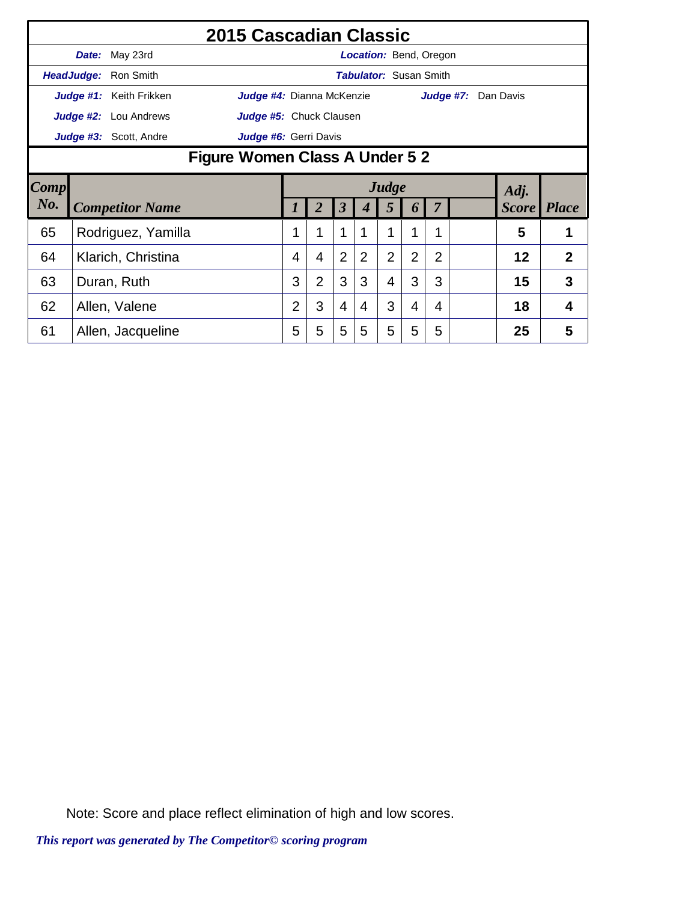|      |       | 2015 Cascadian Classic                |                           |                |                         |                               |                |                |                |                     |              |                |
|------|-------|---------------------------------------|---------------------------|----------------|-------------------------|-------------------------------|----------------|----------------|----------------|---------------------|--------------|----------------|
|      | Date: | May 23rd                              |                           |                |                         | <b>Location: Bend, Oregon</b> |                |                |                |                     |              |                |
|      |       | HeadJudge: Ron Smith                  |                           |                |                         | <b>Tabulator: Susan Smith</b> |                |                |                |                     |              |                |
|      |       | Judge #1: Keith Frikken               | Judge #4: Dianna McKenzie |                |                         |                               |                |                |                | Judge #7: Dan Davis |              |                |
|      |       | <b>Judge #2:</b> Lou Andrews          | Judge #5: Chuck Clausen   |                |                         |                               |                |                |                |                     |              |                |
|      |       | Judge #3: Scott, Andre                | Judge #6: Gerri Davis     |                |                         |                               |                |                |                |                     |              |                |
|      |       | <b>Figure Women Class A Under 5 2</b> |                           |                |                         |                               |                |                |                |                     |              |                |
| Comp |       |                                       |                           |                |                         |                               | Judge          |                |                |                     | Adj.         |                |
| No.  |       | <b>Competitor Name</b>                | 1                         | $\overline{2}$ | $\overline{\mathbf{3}}$ | 4                             | 5              | 6              | $\overline{7}$ |                     | <b>Score</b> | <i>Place</i>   |
| 65   |       | Rodriguez, Yamilla                    |                           | 1              | 1                       |                               | 1              |                | 1              |                     | 5            | 1              |
| 64   |       | Klarich, Christina                    | 4                         | 4              | $\overline{2}$          | $\overline{2}$                | $\overline{2}$ | $\overline{2}$ | $\overline{2}$ |                     | 12           | $\overline{2}$ |
| 63   |       | Duran, Ruth                           | 3                         | $\overline{2}$ | 3                       | 3                             | 4              | 3              | 3              |                     | 15           | 3              |
| 62   |       | Allen, Valene                         | 2                         | 3              | $\overline{4}$          | 4                             | 3              | 4              | 4              |                     | 18           | 4              |
| 61   |       | Allen, Jacqueline                     | 5                         | 5              | 5                       | 5                             | 5              | 5              | 5              |                     | 25           | 5              |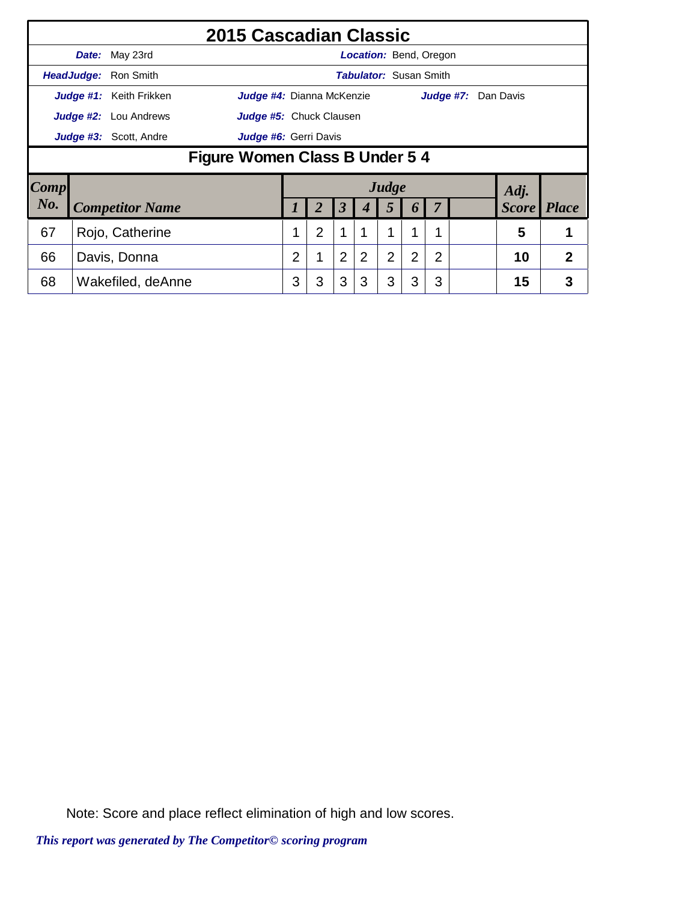|                        |                                                 |                              | 2015 Cascadian Classic    |                |                |                      |   |                               |                  |                |           |                    |              |
|------------------------|-------------------------------------------------|------------------------------|---------------------------|----------------|----------------|----------------------|---|-------------------------------|------------------|----------------|-----------|--------------------|--------------|
|                        |                                                 | <b>Date:</b> May 23rd        |                           |                |                |                      |   | <b>Location: Bend, Oregon</b> |                  |                |           |                    |              |
|                        |                                                 | HeadJudge: Ron Smith         |                           |                |                |                      |   | <b>Tabulator:</b> Susan Smith |                  |                |           |                    |              |
|                        |                                                 | Judge #1: Keith Frikken      | Judge #4: Dianna McKenzie |                |                |                      |   |                               |                  |                | Judge #7: | Dan Davis          |              |
|                        |                                                 | <b>Judge #2:</b> Lou Andrews | Judge #5: Chuck Clausen   |                |                |                      |   |                               |                  |                |           |                    |              |
|                        | Judge #3: Scott, Andre<br>Judge #6: Gerri Davis |                              |                           |                |                |                      |   |                               |                  |                |           |                    |              |
|                        | Figure Women Class B Under 5 4                  |                              |                           |                |                |                      |   |                               |                  |                |           |                    |              |
| $\lfloor Comp \rfloor$ |                                                 |                              |                           |                |                |                      |   | Judge                         |                  |                |           | Adj.               |              |
| No.                    |                                                 | <b>Competitor Name</b>       |                           |                | 2              | $\boldsymbol{\beta}$ | 4 | $\overline{5}$                | $\boldsymbol{p}$ | 7              |           | <b>Score</b> Place |              |
| 67                     |                                                 | Rojo, Catherine              |                           | 1              | $\overline{2}$ | 1                    | 1 | 1                             |                  | 1              |           | 5                  | 1            |
| 66                     |                                                 | Davis, Donna                 |                           | $\overline{2}$ |                | $\overline{2}$       | 2 | $\overline{2}$                | $\overline{2}$   | $\overline{2}$ |           | 10                 | $\mathbf{2}$ |
| 68                     |                                                 | Wakefiled, deAnne            |                           | 3              | 3              | 3                    | 3 | 3                             | 3                | 3              |           | 15                 | 3            |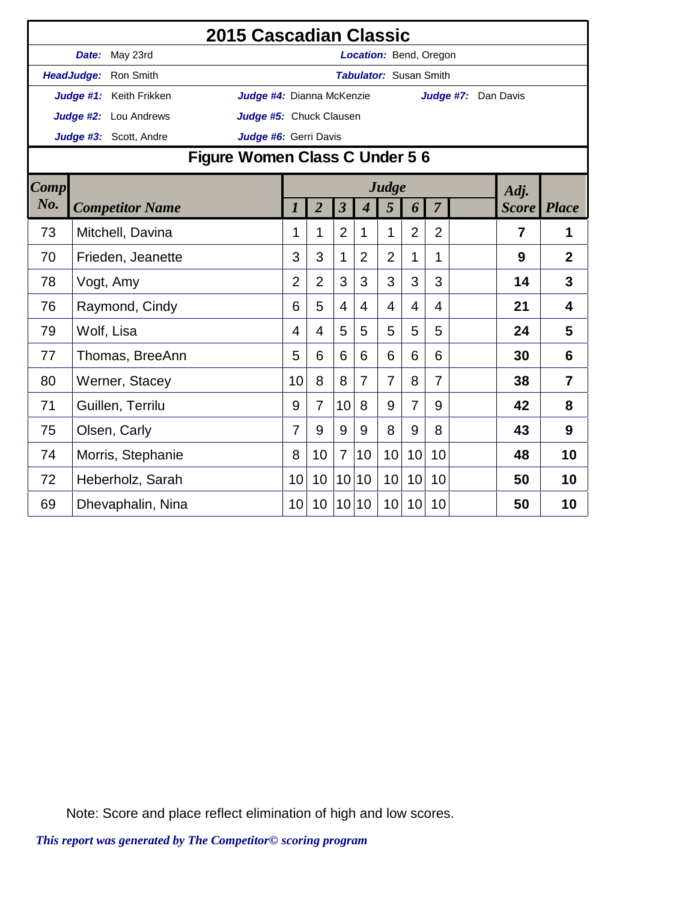|             |                                | <b>2015 Cascadian Classic</b> |                  |                |                         |                             |                        |                |                |           |                |                |
|-------------|--------------------------------|-------------------------------|------------------|----------------|-------------------------|-----------------------------|------------------------|----------------|----------------|-----------|----------------|----------------|
|             | Date: May 23rd                 |                               |                  |                |                         |                             | Location: Bend, Oregon |                |                |           |                |                |
|             | HeadJudge: Ron Smith           |                               |                  |                |                         |                             | Tabulator: Susan Smith |                |                |           |                |                |
|             | Judge #1: Keith Frikken        | Judge #4: Dianna McKenzie     |                  |                |                         |                             |                        |                |                | Judge #7: | Dan Davis      |                |
|             | Judge #2: Lou Andrews          | Judge #5: Chuck Clausen       |                  |                |                         |                             |                        |                |                |           |                |                |
|             | Judge #3: Scott, Andre         | Judge #6: Gerri Davis         |                  |                |                         |                             |                        |                |                |           |                |                |
|             | Figure Women Class C Under 5 6 |                               |                  |                |                         |                             |                        |                |                |           |                |                |
| <b>Comp</b> |                                |                               |                  |                |                         |                             | Judge                  |                |                |           | Adj.           |                |
| No.         | <b>Competitor Name</b>         |                               | $\boldsymbol{l}$ | $\overline{2}$ | $\overline{\mathbf{3}}$ | $\overline{\boldsymbol{4}}$ | 5                      | 6              | $\overline{7}$ |           | <b>Score</b>   | <b>Place</b>   |
| 73          | Mitchell, Davina               |                               | 1                | 1              | $\overline{2}$          | 1                           | 1                      | $\overline{2}$ | $\overline{2}$ |           | $\overline{7}$ | 1              |
| 70          | Frieden, Jeanette              |                               | 3                | 3              | $\mathbf{1}$            | $\overline{2}$              | $\overline{2}$         | 1              | 1              |           | 9              | $\overline{2}$ |
| 78          | Vogt, Amy                      |                               | $\overline{2}$   | $\overline{2}$ | 3                       | 3                           | 3                      | 3              | 3              |           | 14             | $\overline{3}$ |
| 76          | Raymond, Cindy                 |                               | 6                | 5              | 4                       | 4                           | 4                      | 4              | 4              |           | 21             | 4              |
| 79          | Wolf, Lisa                     |                               | 4                | 4              | 5                       | 5                           | 5                      | 5              | 5              |           | 24             | 5              |
| 77          | Thomas, BreeAnn                |                               | 5                | 6              | 6                       | 6                           | 6                      | 6              | 6              |           | 30             | 6              |
| 80          | Werner, Stacey                 |                               | 10               | 8              | 8                       | $\overline{7}$              | $\overline{7}$         | 8              | $\overline{7}$ |           | 38             | $\overline{7}$ |
| 71          | Guillen, Terrilu               |                               | 9                | $\overline{7}$ | 10                      | 8                           | 9                      | $\overline{7}$ | 9              |           | 42             | 8              |
| 75          | Olsen, Carly                   |                               | $\overline{7}$   | 9              | 9                       | 9                           | 8                      | 9              | 8              |           | 43             | 9              |
| 74          | Morris, Stephanie              |                               | 8                | 10             | $\overline{7}$          | 10                          | 10                     | 10             | 10             |           | 48             | 10             |
| 72          | Heberholz, Sarah               |                               | 10               | 10             | 10                      | 10                          | 10                     | 10             | 10             |           | 50             | 10             |
| 69          | Dhevaphalin, Nina              |                               | 10               | 10             | 10 <sup>1</sup>         | 10                          | 10                     | 10             | 10             |           | 50             | 10             |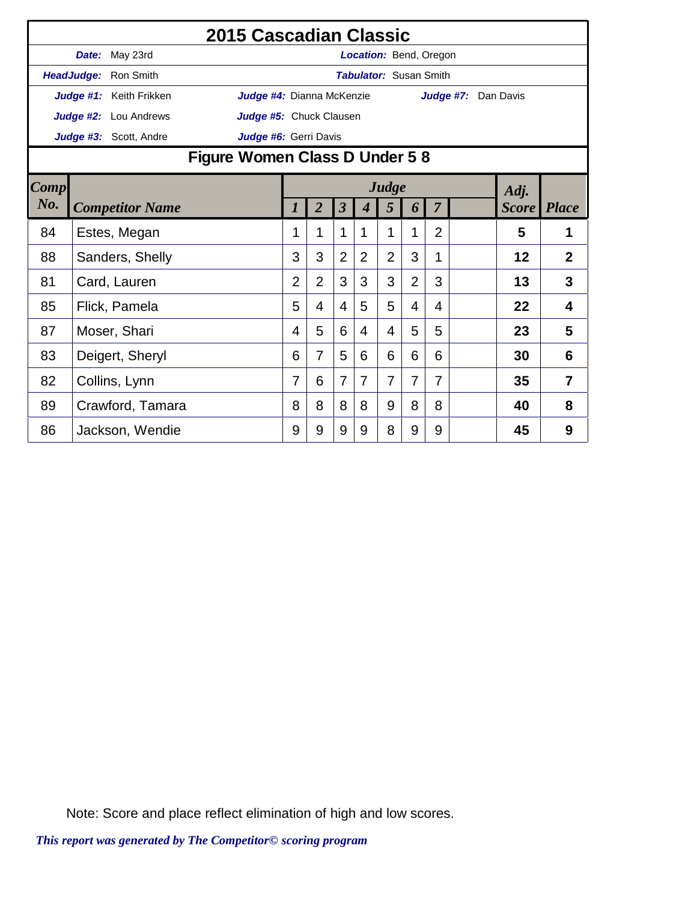|             |                              | <b>2015 Cascadian Classic</b>  |                |                |                         |                               |                |                |                |                     |              |                |
|-------------|------------------------------|--------------------------------|----------------|----------------|-------------------------|-------------------------------|----------------|----------------|----------------|---------------------|--------------|----------------|
|             | Date: May 23rd               |                                |                |                |                         | Location: Bend, Oregon        |                |                |                |                     |              |                |
|             | HeadJudge: Ron Smith         |                                |                |                |                         | <b>Tabulator: Susan Smith</b> |                |                |                |                     |              |                |
|             | Judge #1: Keith Frikken      | Judge #4: Dianna McKenzie      |                |                |                         |                               |                |                |                | Judge #7: Dan Davis |              |                |
|             | <b>Judge #2:</b> Lou Andrews | Judge #5: Chuck Clausen        |                |                |                         |                               |                |                |                |                     |              |                |
|             | Judge #3: Scott, Andre       | Judge #6: Gerri Davis          |                |                |                         |                               |                |                |                |                     |              |                |
|             |                              | Figure Women Class D Under 5 8 |                |                |                         |                               |                |                |                |                     |              |                |
| <b>Comp</b> |                              |                                |                |                |                         |                               | Judge          |                |                |                     | Adj.         |                |
| No.         | <b>Competitor Name</b>       |                                | 7              | $\overline{2}$ | $\overline{\mathbf{3}}$ | 4                             | 5              | 6              | 7              |                     | <b>Score</b> | Place          |
| 84          | Estes, Megan                 |                                | 1              | 1              | 1                       | 1                             | 1              | 1              | $\overline{2}$ |                     | 5            | 1              |
| 88          | Sanders, Shelly              |                                | 3              | 3              | $\overline{2}$          | $\overline{2}$                | $\overline{2}$ | 3              | 1              |                     | 12           | $\overline{2}$ |
| 81          | Card, Lauren                 |                                | $\overline{2}$ | $\overline{2}$ | 3                       | 3                             | 3              | $\overline{2}$ | 3              |                     | 13           | 3              |
| 85          | Flick, Pamela                |                                | 5              | $\overline{4}$ | 4                       | 5                             | 5              | $\overline{4}$ | 4              |                     | 22           | 4              |
| 87          | Moser, Shari                 |                                | 4              | 5              | 6                       | 4                             | 4              | 5              | 5              |                     | 23           | 5              |
| 83          | Deigert, Sheryl              |                                | 6              | 7              | 5                       | 6                             | 6              | 6              | 6              |                     | 30           | 6              |
| 82          | Collins, Lynn                |                                | 7              | 6              | $\overline{7}$          | 7                             | $\overline{7}$ | $\overline{7}$ | 7              |                     | 35           | 7              |
| 89          | Crawford, Tamara             |                                | 8              | 8              | 8                       | 8                             | 9              | 8              | 8              |                     | 40           | 8              |
| 86          | Jackson, Wendie              |                                | 9              | 9              | 9                       | 9                             | 8              | 9              | 9              |                     | 45           | 9              |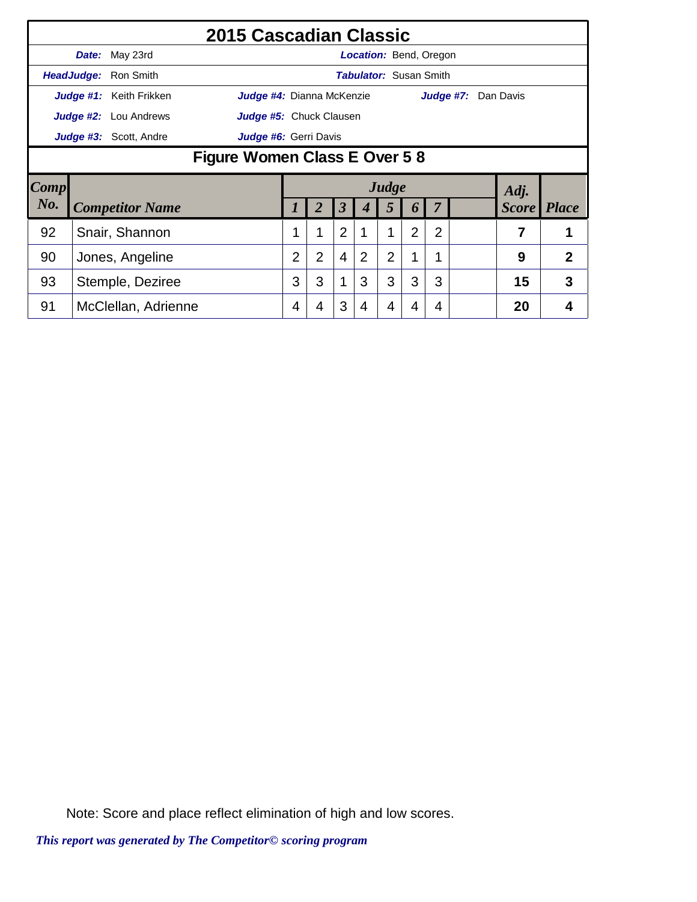|             |                                      |                               | 2015 Cascadian Classic    |                |                |                |   |                               |                |                |           |  |                    |              |
|-------------|--------------------------------------|-------------------------------|---------------------------|----------------|----------------|----------------|---|-------------------------------|----------------|----------------|-----------|--|--------------------|--------------|
|             |                                      | Date: May 23rd                |                           |                |                |                |   | <b>Location: Bend, Oregon</b> |                |                |           |  |                    |              |
|             |                                      | <b>HeadJudge: Ron Smith</b>   |                           |                |                |                |   | <b>Tabulator:</b> Susan Smith |                |                |           |  |                    |              |
|             |                                      | Judge #1: Keith Frikken       | Judge #4: Dianna McKenzie |                |                |                |   |                               |                |                | Judge #7: |  | Dan Davis          |              |
|             |                                      | <b>Judge #2:</b> Lou Andrews  | Judge #5: Chuck Clausen   |                |                |                |   |                               |                |                |           |  |                    |              |
|             |                                      | <b>Judge #3:</b> Scott, Andre | Judge #6: Gerri Davis     |                |                |                |   |                               |                |                |           |  |                    |              |
|             | <b>Figure Women Class E Over 5 8</b> |                               |                           |                |                |                |   |                               |                |                |           |  |                    |              |
| <b>Comp</b> |                                      |                               |                           |                |                |                |   | Judge                         |                |                |           |  | Adj.               |              |
| No.         |                                      | <b>Competitor Name</b>        |                           | 1              | 2              | 3              |   | 5                             | 6              |                |           |  | <b>Score</b> Place |              |
| 92          |                                      | Snair, Shannon                |                           | 1              | 1              | $\overline{2}$ | 1 | 1                             | $\overline{2}$ | $\overline{2}$ |           |  | 7                  | 1            |
| 90          |                                      | Jones, Angeline               |                           | $\overline{2}$ | $\overline{2}$ | $\overline{4}$ | 2 | $\overline{2}$                |                |                |           |  | 9                  | $\mathbf{2}$ |
| 93          |                                      | Stemple, Deziree              |                           | 3              | 3              |                | 3 | 3                             | 3              | 3              |           |  | 15                 | 3            |
| 91          |                                      | McClellan, Adrienne           |                           | $\overline{4}$ | 4              | 3              | 4 | 4                             | 4              | 4              |           |  | 20                 | 4            |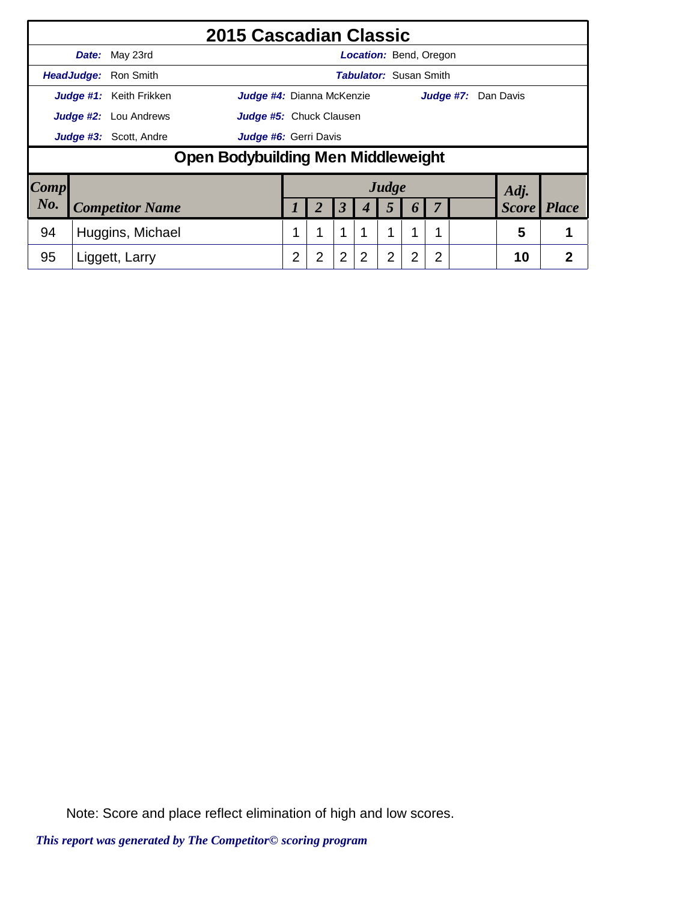|                     |                               | 2015 Cascadian Classic                    |   |   |                      |                |                |                       |                               |                     |              |              |
|---------------------|-------------------------------|-------------------------------------------|---|---|----------------------|----------------|----------------|-----------------------|-------------------------------|---------------------|--------------|--------------|
|                     | Date: May 23rd                |                                           |   |   |                      |                |                |                       | <b>Location: Bend, Oregon</b> |                     |              |              |
|                     | <b>HeadJudge: Ron Smith</b>   |                                           |   |   |                      |                |                |                       | <b>Tabulator: Susan Smith</b> |                     |              |              |
|                     | Judge #1: Keith Frikken       | <b>Judge #4:</b> Dianna McKenzie          |   |   |                      |                |                |                       |                               | Judge #7: Dan Davis |              |              |
|                     | <b>Judge #2:</b> Lou Andrews  | <b>Judge #5:</b> Chuck Clausen            |   |   |                      |                |                |                       |                               |                     |              |              |
|                     | <b>Judge #3:</b> Scott, Andre | Judge #6: Gerri Davis                     |   |   |                      |                |                |                       |                               |                     |              |              |
|                     |                               | <b>Open Bodybuilding Men Middleweight</b> |   |   |                      |                |                |                       |                               |                     |              |              |
| $\boldsymbol{Comp}$ |                               |                                           |   |   |                      |                | Judge          |                       |                               |                     | Adj.         |              |
| No.                 | <b>Competitor Name</b>        |                                           |   | 2 | $\boldsymbol{\beta}$ |                | 5              | $\boldsymbol{\theta}$ | $\overline{7}$                |                     | <b>Score</b> | <b>Place</b> |
| 94                  | Huggins, Michael              |                                           | 1 | 1 | 1                    |                | 1              | 1                     | 1                             |                     | 5            | 1            |
| 95                  | Liggett, Larry                |                                           | 2 | 2 | $\overline{2}$       | $\overline{2}$ | $\overline{2}$ | 2                     | $\overline{2}$                |                     | 10           | 2            |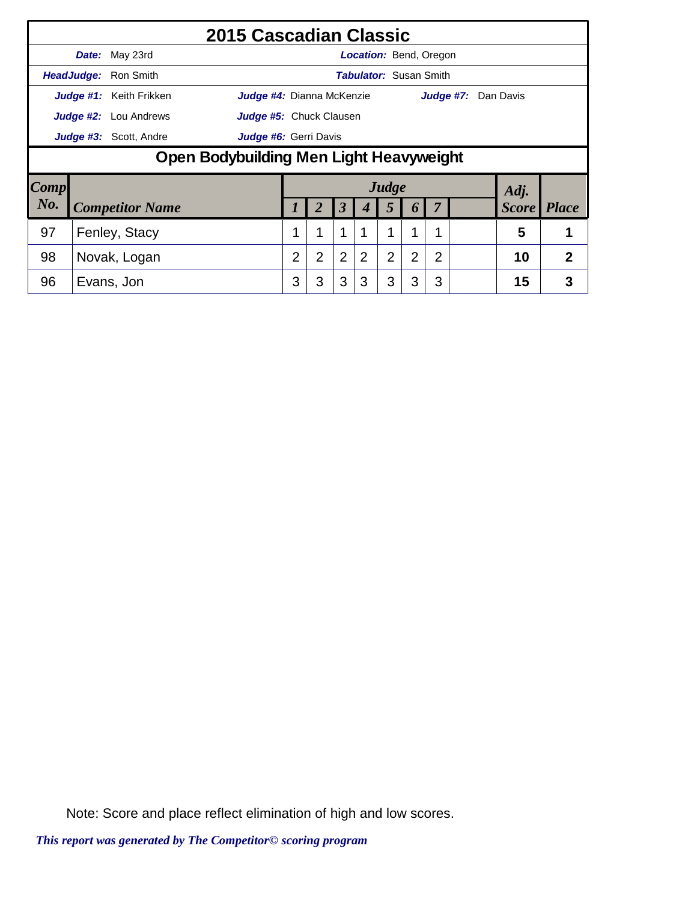|      |       |                                         | 2015 Cascadian Classic         |                |                |                |                               |                |                  |                |           |  |              |              |
|------|-------|-----------------------------------------|--------------------------------|----------------|----------------|----------------|-------------------------------|----------------|------------------|----------------|-----------|--|--------------|--------------|
|      | Date: | May 23rd                                |                                |                |                |                | <b>Location: Bend, Oregon</b> |                |                  |                |           |  |              |              |
|      |       | HeadJudge: Ron Smith                    |                                |                |                |                | <b>Tabulator: Susan Smith</b> |                |                  |                |           |  |              |              |
|      |       | Judge #1: Keith Frikken                 | Judge #4: Dianna McKenzie      |                |                |                |                               |                |                  |                | Judge #7: |  | Dan Davis    |              |
|      |       | <b>Judge #2:</b> Lou Andrews            | <b>Judge #5:</b> Chuck Clausen |                |                |                |                               |                |                  |                |           |  |              |              |
|      |       | Judge #3: Scott, Andre                  | Judge #6: Gerri Davis          |                |                |                |                               |                |                  |                |           |  |              |              |
|      |       | Open Bodybuilding Men Light Heavyweight |                                |                |                |                |                               |                |                  |                |           |  |              |              |
| Comp |       |                                         |                                |                |                |                |                               | Judge          |                  |                |           |  | Adj.         |              |
| No.  |       | <b>Competitor Name</b>                  |                                |                | 2              | 3              |                               | 5              | $\boldsymbol{b}$ | 7              |           |  | <b>Score</b> | <b>Place</b> |
| 97   |       | Fenley, Stacy                           |                                | 1              | 1              | 1              |                               | 1              | 1                | 4              |           |  | 5            |              |
| 98   |       | Novak, Logan                            |                                | $\overline{2}$ | $\overline{2}$ | $\overline{2}$ | 2                             | $\overline{2}$ | $\overline{2}$   | $\overline{2}$ |           |  | 10           | 2            |
| 96   |       | Evans, Jon                              |                                | 3              | 3              | 3              | 3                             | 3              | 3                | 3              |           |  | 15           | 3            |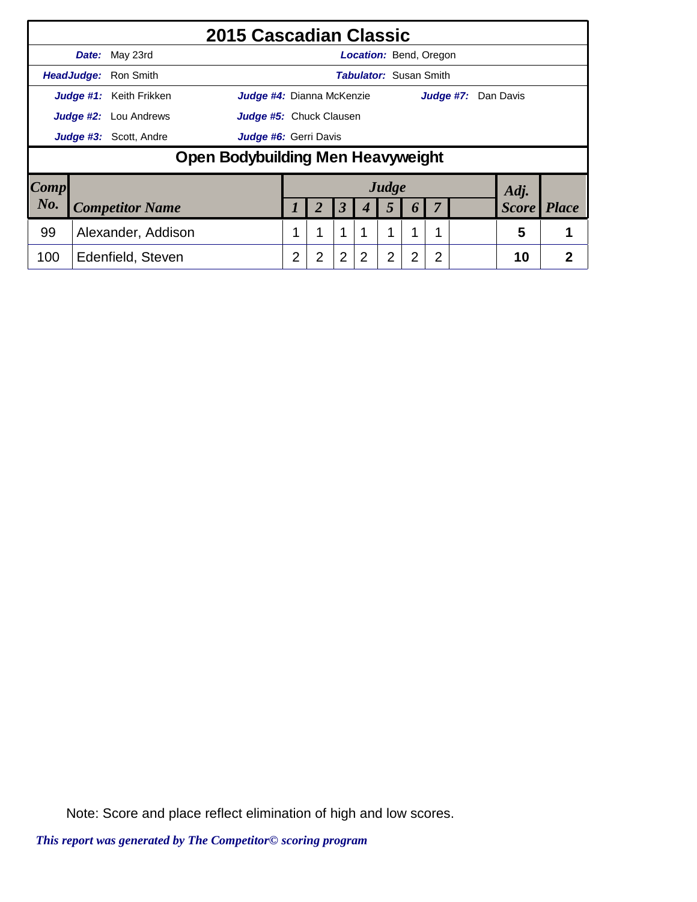|      |            |                                | 2015 Cascadian Classic                   |   |                |                |                               |                |                |   |           |              |              |
|------|------------|--------------------------------|------------------------------------------|---|----------------|----------------|-------------------------------|----------------|----------------|---|-----------|--------------|--------------|
|      |            | Date: May 23rd                 |                                          |   |                |                | <b>Location:</b> Bend, Oregon |                |                |   |           |              |              |
|      | HeadJudge: | Ron Smith                      |                                          |   |                |                | <b>Tabulator: Susan Smith</b> |                |                |   |           |              |              |
|      |            | <b>Judge #1:</b> Keith Frikken | <b>Judge #4:</b> Dianna McKenzie         |   |                |                |                               |                |                |   | Judge #7: | Dan Davis    |              |
|      |            | <b>Judge #2:</b> Lou Andrews   | Judge #5: Chuck Clausen                  |   |                |                |                               |                |                |   |           |              |              |
|      |            | Judge #3: Scott, Andre         | Judge #6: Gerri Davis                    |   |                |                |                               |                |                |   |           |              |              |
|      |            |                                | <b>Open Bodybuilding Men Heavyweight</b> |   |                |                |                               |                |                |   |           |              |              |
| Comp |            |                                |                                          |   |                |                |                               | Judge          |                |   |           | Adj.         |              |
| No.  |            | <b>Competitor Name</b>         |                                          |   |                | 3              |                               | 5              |                | 7 |           | <b>Score</b> | <b>Place</b> |
| 99   |            | Alexander, Addison             |                                          | 1 | 1              | 1              |                               | 1              | 1              | 1 |           | 5            | 1            |
| 100  |            | Edenfield, Steven              |                                          | 2 | $\overline{2}$ | $\overline{2}$ | 2                             | $\overline{2}$ | $\overline{2}$ | 2 |           | 10           | 2            |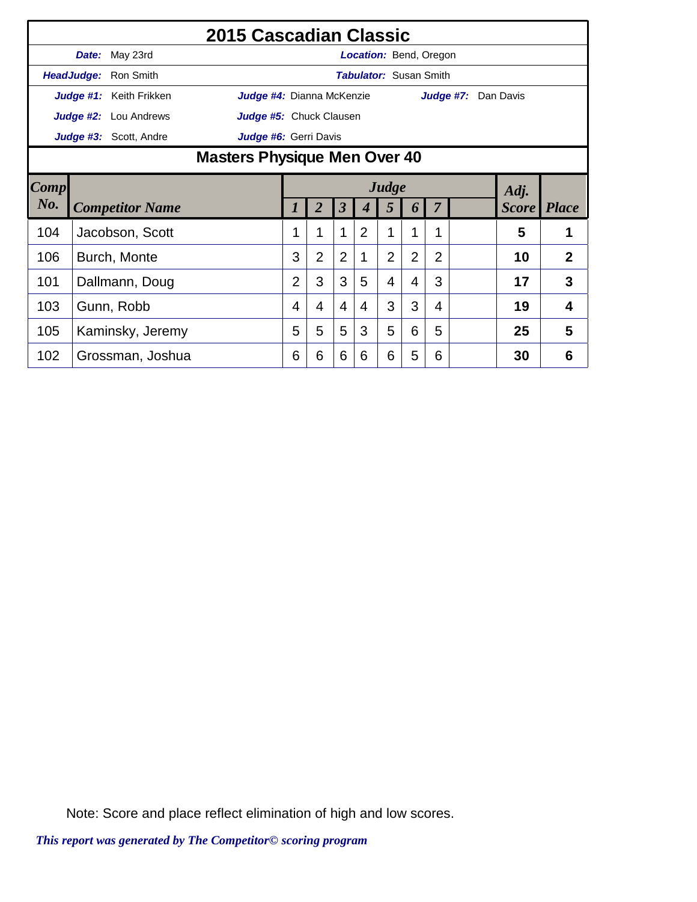|        |       |                              | 2015 Cascadian Classic              |                |                |                         |                |                               |                |                |                     |                    |              |  |
|--------|-------|------------------------------|-------------------------------------|----------------|----------------|-------------------------|----------------|-------------------------------|----------------|----------------|---------------------|--------------------|--------------|--|
|        | Date: | May 23rd                     |                                     |                |                |                         |                | Location: Bend, Oregon        |                |                |                     |                    |              |  |
|        |       | HeadJudge: Ron Smith         |                                     |                |                |                         |                | <b>Tabulator: Susan Smith</b> |                |                |                     |                    |              |  |
|        |       | Judge #1: Keith Frikken      | Judge #4: Dianna McKenzie           |                |                |                         |                |                               |                |                | Judge #7: Dan Davis |                    |              |  |
|        |       | <b>Judge #2:</b> Lou Andrews | Judge #5: Chuck Clausen             |                |                |                         |                |                               |                |                |                     |                    |              |  |
|        |       | Judge #3: Scott, Andre       | Judge #6: Gerri Davis               |                |                |                         |                |                               |                |                |                     |                    |              |  |
|        |       |                              | <b>Masters Physique Men Over 40</b> |                |                |                         |                |                               |                |                |                     |                    |              |  |
| Comp   |       |                              | Judge<br>Adj.                       |                |                |                         |                |                               |                |                |                     |                    |              |  |
| $N0$ . |       | <b>Competitor Name</b>       |                                     |                | $\overline{2}$ | $\overline{\mathbf{3}}$ |                | 5                             | 6              | $\overline{7}$ |                     | <b>Score</b> Place |              |  |
| 104    |       | Jacobson, Scott              |                                     |                | 1              | 1                       | $\overline{2}$ | 1                             | 1              | 1              |                     | 5                  | 1            |  |
| 106    |       | Burch, Monte                 |                                     | 3              | $\overline{2}$ | $\overline{2}$          | 1              | $\overline{2}$                | $\overline{2}$ | $\overline{2}$ |                     | 10                 | $\mathbf{2}$ |  |
|        |       |                              |                                     |                |                |                         |                |                               |                |                |                     |                    |              |  |
| 101    |       | Dallmann, Doug               |                                     | $\overline{2}$ | 3              | 3                       | 5              | 4                             | 4              | 3              |                     | 17                 | 3            |  |
| 103    |       | Gunn, Robb                   |                                     | 4              | 4              | $\overline{4}$          | 4              | 3                             | 3              | 4              |                     | 19                 | 4            |  |
| 105    |       | Kaminsky, Jeremy             |                                     | 5              | 5              | 5                       | 3              | 5                             | 6              | 5              |                     | 25                 | 5            |  |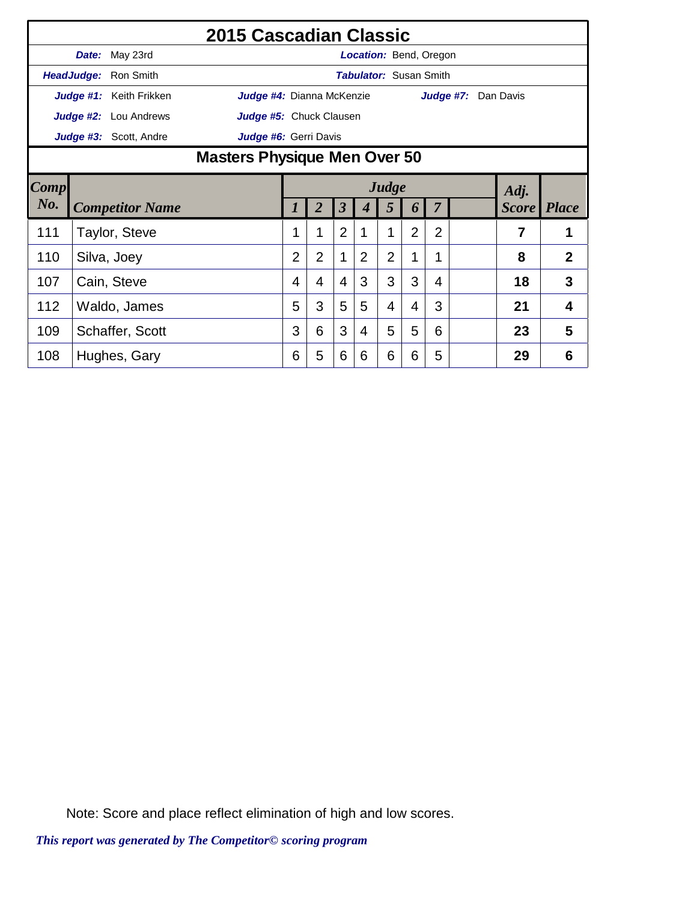|      |       |                              | 2015 Cascadian Classic    |                                     |                |                         |                               |                |                |                |  |                     |                    |  |  |
|------|-------|------------------------------|---------------------------|-------------------------------------|----------------|-------------------------|-------------------------------|----------------|----------------|----------------|--|---------------------|--------------------|--|--|
|      | Date: | May 23rd                     |                           |                                     |                |                         | <b>Location: Bend, Oregon</b> |                |                |                |  |                     |                    |  |  |
|      |       | HeadJudge: Ron Smith         |                           |                                     |                |                         | <b>Tabulator: Susan Smith</b> |                |                |                |  |                     |                    |  |  |
|      |       | Judge #1: Keith Frikken      | Judge #4: Dianna McKenzie |                                     |                |                         |                               |                |                |                |  | Judge #7: Dan Davis |                    |  |  |
|      |       | <b>Judge #2:</b> Lou Andrews | Judge #5: Chuck Clausen   |                                     |                |                         |                               |                |                |                |  |                     |                    |  |  |
|      |       | Judge #3: Scott, Andre       | Judge #6: Gerri Davis     |                                     |                |                         |                               |                |                |                |  |                     |                    |  |  |
|      |       |                              |                           | <b>Masters Physique Men Over 50</b> |                |                         |                               |                |                |                |  |                     |                    |  |  |
| Comp |       |                              |                           | Judge<br>Adj.                       |                |                         |                               |                |                |                |  |                     |                    |  |  |
| No.  |       | <b>Competitor Name</b>       |                           |                                     | $\overline{2}$ | $\overline{\mathbf{3}}$ |                               | 5              | 6              | $\overline{7}$ |  |                     | <b>Score</b> Place |  |  |
| 111  |       | Taylor, Steve                |                           |                                     | 1              | $\overline{2}$          |                               | 1              | $\overline{2}$ | $\overline{2}$ |  | 7                   | 1                  |  |  |
| 110  |       | Silva, Joey                  |                           | $\overline{2}$                      | $\overline{2}$ | 1                       | $\overline{2}$                | $\overline{2}$ | 1              | 1              |  | 8                   | $\overline{2}$     |  |  |
| 107  |       | Cain, Steve                  |                           | 4                                   | 4              | $\overline{4}$          | 3                             | 3              | 3              | 4              |  | 18                  | 3                  |  |  |
| 112  |       | Waldo, James                 |                           | 5                                   | 3              | 5                       | 5                             | 4              | 4              | 3              |  | 21                  | 4                  |  |  |
| 109  |       | Schaffer, Scott              |                           | 3                                   | 6              | 3                       | 4                             | 5              | 5              | 6              |  | 23                  | 5                  |  |  |
| 108  |       | Hughes, Gary                 |                           | 6                                   | 5              | 6                       | 6                             | 6              | 6              | 5              |  | 29                  | 6                  |  |  |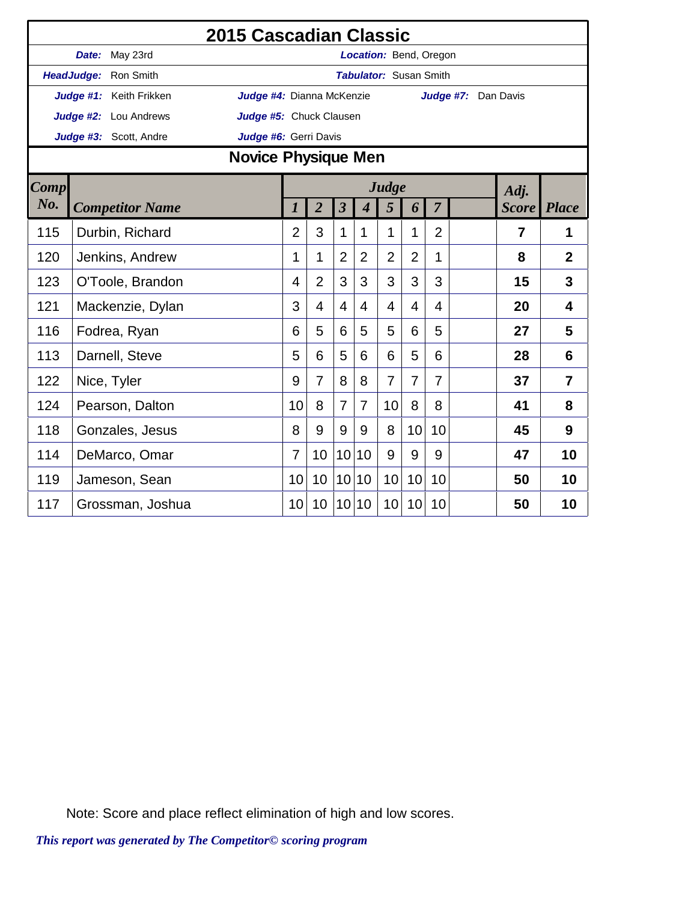|             |                         | <b>2015 Cascadian Classic</b> |                  |                |                         |                             |                               |                |                |                     |                |                         |
|-------------|-------------------------|-------------------------------|------------------|----------------|-------------------------|-----------------------------|-------------------------------|----------------|----------------|---------------------|----------------|-------------------------|
|             | Date: May 23rd          |                               |                  |                |                         |                             | Location: Bend, Oregon        |                |                |                     |                |                         |
|             | HeadJudge: Ron Smith    |                               |                  |                |                         |                             | <b>Tabulator: Susan Smith</b> |                |                |                     |                |                         |
|             | Judge #1: Keith Frikken | Judge #4: Dianna McKenzie     |                  |                |                         |                             |                               |                |                | Judge #7: Dan Davis |                |                         |
|             | Judge #2: Lou Andrews   | Judge #5: Chuck Clausen       |                  |                |                         |                             |                               |                |                |                     |                |                         |
|             | Judge #3: Scott, Andre  | Judge #6: Gerri Davis         |                  |                |                         |                             |                               |                |                |                     |                |                         |
|             |                         | <b>Novice Physique Men</b>    |                  |                |                         |                             |                               |                |                |                     |                |                         |
| <b>Comp</b> |                         |                               |                  |                |                         |                             | Judge                         |                |                |                     | Adj.           |                         |
| No.         | <b>Competitor Name</b>  |                               | $\boldsymbol{l}$ | $\overline{2}$ | $\overline{\mathbf{3}}$ | $\overline{\boldsymbol{4}}$ | 5                             | 6              | $\overline{7}$ |                     |                | <b>Score</b> Place      |
| 115         | Durbin, Richard         |                               | $\overline{2}$   | 3              | 1                       | 1                           | 1                             | 1              | $\overline{2}$ |                     | $\overline{7}$ | 1                       |
| 120         | Jenkins, Andrew         |                               | 1                | 1              | $\overline{2}$          | $\overline{2}$              | $\overline{2}$                | $\overline{2}$ | 1              |                     | 8              | $\overline{2}$          |
| 123         | O'Toole, Brandon        |                               | 4                | $\overline{2}$ | 3                       | 3                           | 3                             | 3              | 3              |                     | 15             | 3                       |
| 121         | Mackenzie, Dylan        |                               | 3                | 4              | $\overline{4}$          | $\overline{4}$              | 4                             | 4              | 4              |                     | 20             | $\overline{\mathbf{4}}$ |
| 116         | Fodrea, Ryan            |                               | 6                | 5              | 6                       | 5                           | 5                             | 6              | 5              |                     | 27             | 5                       |
| 113         | Darnell, Steve          |                               | 5                | 6              | 5                       | 6                           | 6                             | 5              | 6              |                     | 28             | 6                       |
| 122         | Nice, Tyler             |                               | 9                | $\overline{7}$ | 8                       | 8                           | $\overline{7}$                | $\overline{7}$ | $\overline{7}$ |                     | 37             | 7                       |
| 124         | Pearson, Dalton         |                               | 10               | 8              | $\overline{7}$          | $\overline{7}$              | 10                            | 8              | 8              |                     | 41             | 8                       |
| 118         | Gonzales, Jesus         |                               | 8                | 9              | 9                       | 9                           | 8                             | 10             | 10             |                     | 45             | 9                       |
| 114         | DeMarco, Omar           |                               | 7                | 10             | 10 <sup>1</sup>         | 10                          | 9                             | 9              | 9              |                     | 47             | 10                      |
| 119         | Jameson, Sean           |                               | 10               | 10             | 10                      | 10                          | 10                            | 10             | 10             |                     | 50             | 10                      |
| 117         | Grossman, Joshua        |                               | 10 <sup>1</sup>  | 10             | 10 <sup>1</sup>         | 10                          | 10 <sup>1</sup>               | 10             | 10             |                     | 50             | 10                      |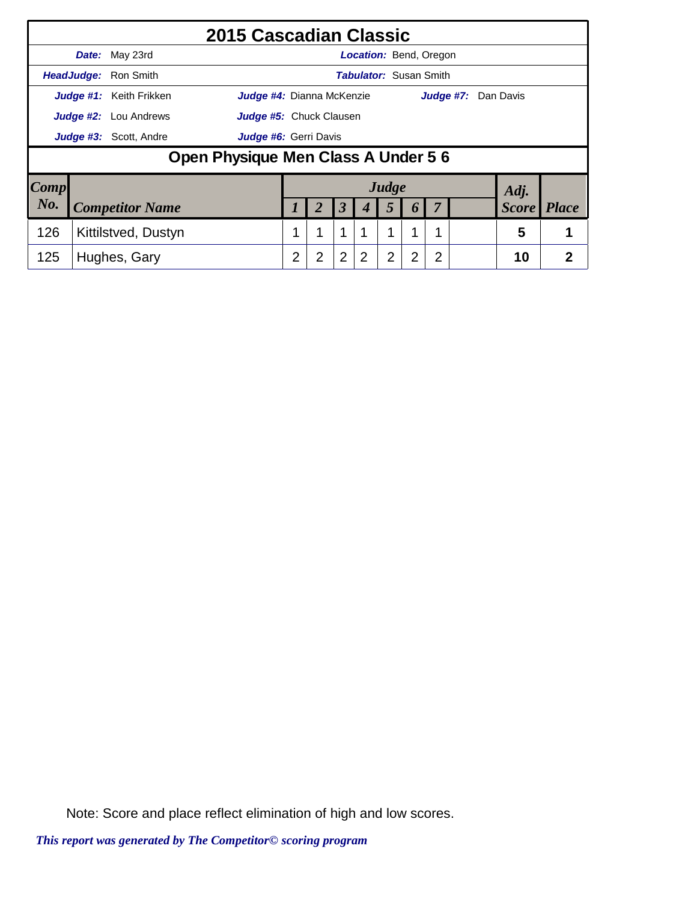|                 |                                                   |                                | 2015 Cascadian Classic              |                           |   |                      |                |                |                  |                               |  |  |              |              |
|-----------------|---------------------------------------------------|--------------------------------|-------------------------------------|---------------------------|---|----------------------|----------------|----------------|------------------|-------------------------------|--|--|--------------|--------------|
|                 |                                                   | Date: May 23rd                 |                                     |                           |   |                      |                |                |                  | Location: Bend, Oregon        |  |  |              |              |
|                 |                                                   | <b>HeadJudge:</b> Ron Smith    |                                     |                           |   |                      |                |                |                  | <b>Tabulator:</b> Susan Smith |  |  |              |              |
|                 |                                                   | <b>Judge #1:</b> Keith Frikken |                                     | Judge #4: Dianna McKenzie |   |                      |                |                |                  | Judge #7:                     |  |  | Dan Davis    |              |
|                 | <b>Judge #2:</b> Lou Andrews                      | Judge #5: Chuck Clausen        |                                     |                           |   |                      |                |                |                  |                               |  |  |              |              |
|                 |                                                   | <b>Judge #3:</b> Scott, Andre  |                                     | Judge #6: Gerri Davis     |   |                      |                |                |                  |                               |  |  |              |              |
|                 |                                                   |                                | Open Physique Men Class A Under 5 6 |                           |   |                      |                |                |                  |                               |  |  |              |              |
| $\textit{Comp}$ |                                                   |                                |                                     |                           |   |                      |                | Judge          |                  |                               |  |  | Adj.         |              |
| No.             |                                                   | <b>Competitor Name</b>         |                                     |                           | 2 | $\boldsymbol{\beta}$ |                | 5              | $\boldsymbol{b}$ | $\overline{7}$                |  |  | <b>Score</b> | <b>Place</b> |
| 126             | 1<br>1<br>1<br>1<br>Kittilstved, Dustyn<br>1<br>1 |                                |                                     |                           |   |                      |                |                |                  |                               |  |  | 5            |              |
| 125             |                                                   | Hughes, Gary                   |                                     | 2                         | 2 | $\overline{2}$       | $\overline{2}$ | $\overline{2}$ | 2                | $\overline{2}$                |  |  | 10           | 2            |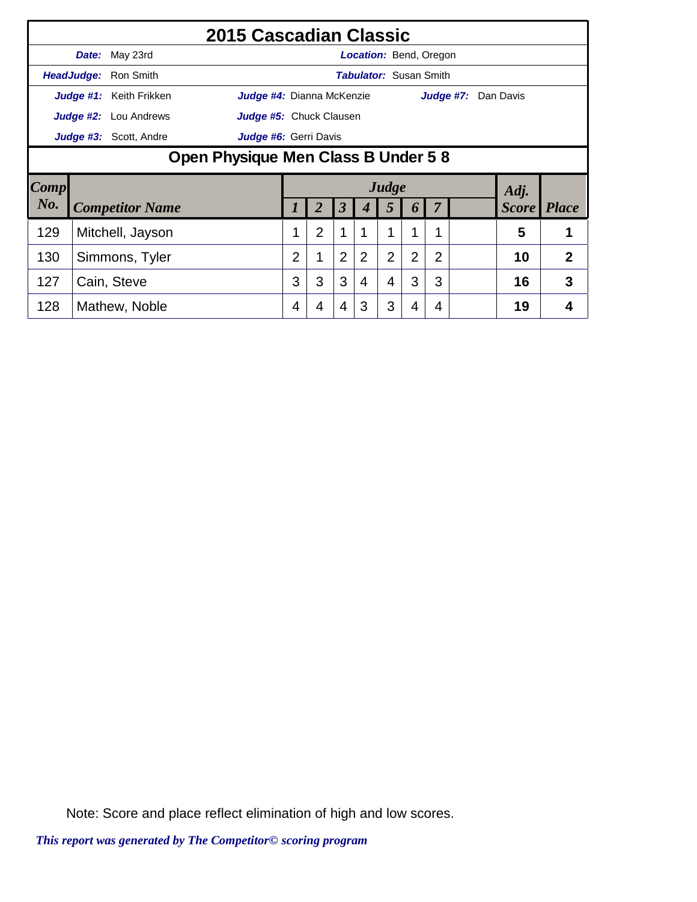|      |            |                               | 2015 Cascadian Classic              |   |                |                      |                |                |                               |                |  |                            |                |  |  |
|------|------------|-------------------------------|-------------------------------------|---|----------------|----------------------|----------------|----------------|-------------------------------|----------------|--|----------------------------|----------------|--|--|
|      |            | <b>Date:</b> May 23rd         |                                     |   |                |                      |                |                | <b>Location:</b> Bend, Oregon |                |  |                            |                |  |  |
|      | HeadJudge: | Ron Smith                     |                                     |   |                |                      |                |                | <b>Tabulator: Susan Smith</b> |                |  |                            |                |  |  |
|      |            | Judge #1: Keith Frikken       | Judge #4: Dianna McKenzie           |   |                |                      |                |                |                               |                |  | <b>Judge #7:</b> Dan Davis |                |  |  |
|      |            | <b>Judge #2:</b> Lou Andrews  | Judge #5: Chuck Clausen             |   |                |                      |                |                |                               |                |  |                            |                |  |  |
|      |            | <b>Judge #3:</b> Scott, Andre | Judge #6: Gerri Davis               |   |                |                      |                |                |                               |                |  |                            |                |  |  |
|      |            |                               | Open Physique Men Class B Under 5 8 |   |                |                      |                |                |                               |                |  |                            |                |  |  |
|      |            |                               |                                     |   |                |                      |                |                |                               |                |  |                            |                |  |  |
| Comp |            |                               |                                     |   |                |                      |                | Judge          |                               |                |  | Adj.                       |                |  |  |
| No.  |            | <b>Competitor Name</b>        |                                     |   | $\overline{2}$ | $\boldsymbol{\beta}$ | 4              | 5              | 6                             | 7              |  | <b>Score</b>               | <i>Place</i>   |  |  |
| 129  |            | Mitchell, Jayson              |                                     |   | 2              | $\mathbf 1$          |                | 1              |                               |                |  | 5                          |                |  |  |
| 130  |            | Simmons, Tyler                |                                     | 2 | 1              | $\overline{2}$       | $\overline{2}$ | $\overline{2}$ | 2                             | $\overline{2}$ |  | 10                         | $\overline{2}$ |  |  |
| 127  |            | Cain, Steve                   |                                     | 3 | 3              | 3                    | 4              | 4              | 3                             | 3              |  | 16                         | 3              |  |  |
| 128  |            | Mathew, Noble                 |                                     | 4 | 4              | 4                    | 3              | 3              | 4                             | 4              |  | 19                         |                |  |  |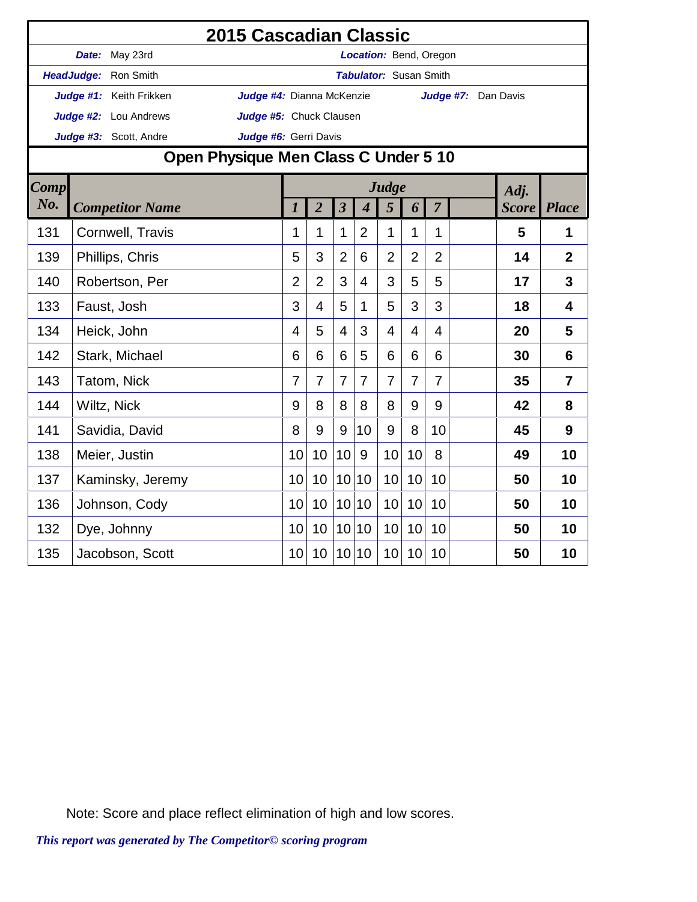|             |                         | 2015 Cascadian Classic               |                  |                |                         |                             |                               |                |                |                     |              |                         |
|-------------|-------------------------|--------------------------------------|------------------|----------------|-------------------------|-----------------------------|-------------------------------|----------------|----------------|---------------------|--------------|-------------------------|
|             | Date: May 23rd          |                                      |                  |                |                         |                             | Location: Bend, Oregon        |                |                |                     |              |                         |
|             | HeadJudge: Ron Smith    |                                      |                  |                |                         |                             | <b>Tabulator:</b> Susan Smith |                |                |                     |              |                         |
|             | Judge #1: Keith Frikken | Judge #4: Dianna McKenzie            |                  |                |                         |                             |                               |                |                | Judge #7: Dan Davis |              |                         |
|             | Judge #2: Lou Andrews   | Judge #5: Chuck Clausen              |                  |                |                         |                             |                               |                |                |                     |              |                         |
|             | Judge #3: Scott, Andre  | Judge #6: Gerri Davis                |                  |                |                         |                             |                               |                |                |                     |              |                         |
|             |                         | Open Physique Men Class C Under 5 10 |                  |                |                         |                             |                               |                |                |                     |              |                         |
| <b>Comp</b> |                         |                                      |                  |                |                         |                             | Judge                         |                |                |                     | Adj.         |                         |
| No.         | <b>Competitor Name</b>  |                                      | $\boldsymbol{l}$ | $\overline{2}$ | $\overline{\mathbf{3}}$ | $\overline{\boldsymbol{4}}$ | 5                             | 6              | $\overline{7}$ |                     | <b>Score</b> | <b>Place</b>            |
| 131         | Cornwell, Travis        |                                      | 1                | 1              | $\mathbf 1$             | $\overline{2}$              | 1                             | 1              | 1              |                     | 5            | 1                       |
| 139         | Phillips, Chris         |                                      | 5                | 3              | $\overline{2}$          | 6                           | $\overline{2}$                | $\overline{2}$ | $\overline{2}$ |                     | 14           | $\mathbf{2}$            |
| 140         | Robertson, Per          |                                      |                  | $\overline{2}$ | 3                       | $\overline{4}$              | 3                             | 5              | 5              |                     | 17           | $\overline{3}$          |
| 133         | Faust, Josh             |                                      | 3                | 4              | 5                       | 1                           | 5                             | 3              | 3              |                     | 18           | $\overline{\mathbf{4}}$ |
| 134         | Heick, John             |                                      | $\overline{4}$   | 5              | $\overline{4}$          | 3                           | 4                             | $\overline{4}$ | 4              |                     | 20           | 5                       |
| 142         | Stark, Michael          |                                      | 6                | 6              | 6                       | 5                           | 6                             | 6              | 6              |                     | 30           | 6                       |
| 143         | Tatom, Nick             |                                      | $\overline{7}$   | 7              | $\overline{7}$          | 7                           | $\overline{7}$                | 7              | 7              |                     | 35           | $\overline{7}$          |
| 144         | Wiltz, Nick             |                                      | 9                | 8              | 8                       | 8                           | 8                             | 9              | 9              |                     | 42           | 8                       |
| 141         | Savidia, David          |                                      | 8                | 9              | 9                       | 10                          | 9                             | 8              | 10             |                     | 45           | 9                       |
| 138         | Meier, Justin           |                                      | 10               | 10             | 10                      | 9                           | 10                            | 10             | 8              |                     | 49           | 10                      |
| 137         | Kaminsky, Jeremy        |                                      | 10               | 10             | 10 <sup>1</sup>         | 10                          | 10                            | 10             | 10             |                     | 50           | 10                      |
| 136         | Johnson, Cody           |                                      | 10               | 10             | 10 <sup>1</sup>         | 10                          | 10                            | 10             | 10             |                     | 50           | 10                      |
| 132         | Dye, Johnny             |                                      | 10               | 10             | 10 <sup>1</sup>         | 10                          | 10                            | 10             | 10             |                     | 50           | 10                      |
| 135         | Jacobson, Scott         |                                      | 10               | 10             | 10                      | 10                          | 10                            | 10             | 10             |                     | 50           | 10                      |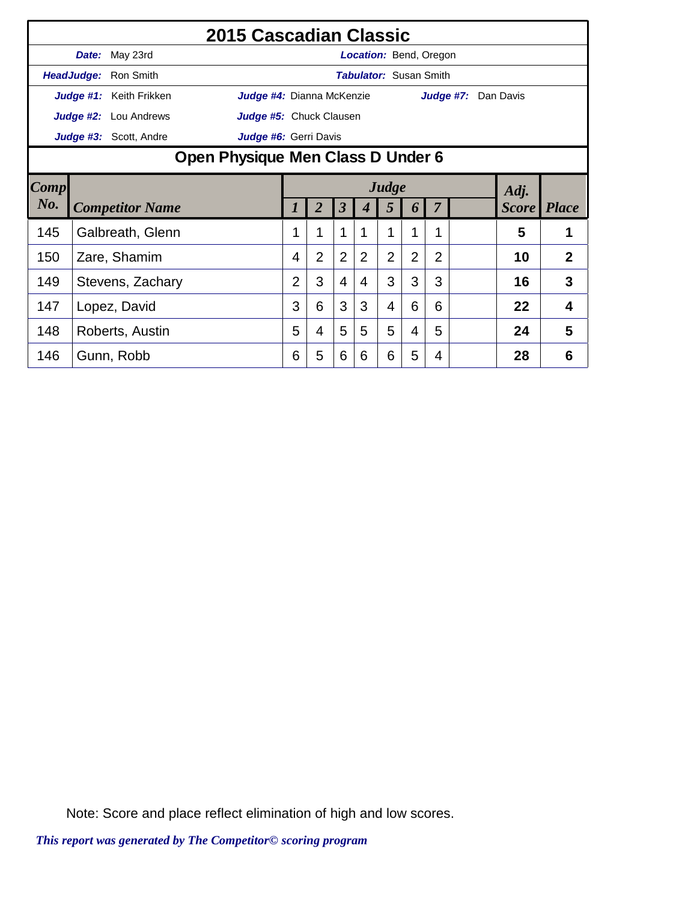|      |                                   |                              | 2015 Cascadian Classic    |          |                |                         |   |                |                |                               |  |                     |                    |
|------|-----------------------------------|------------------------------|---------------------------|----------|----------------|-------------------------|---|----------------|----------------|-------------------------------|--|---------------------|--------------------|
|      | Date:                             | May 23rd                     |                           |          |                |                         |   |                |                | <b>Location: Bend, Oregon</b> |  |                     |                    |
|      |                                   | <b>HeadJudge: Ron Smith</b>  |                           |          |                |                         |   |                |                | <b>Tabulator: Susan Smith</b> |  |                     |                    |
|      |                                   | Judge #1: Keith Frikken      | Judge #4: Dianna McKenzie |          |                |                         |   |                |                |                               |  | Judge #7: Dan Davis |                    |
|      |                                   | <b>Judge #2:</b> Lou Andrews | Judge #5: Chuck Clausen   |          |                |                         |   |                |                |                               |  |                     |                    |
|      |                                   | Judge #3: Scott, Andre       | Judge #6: Gerri Davis     |          |                |                         |   |                |                |                               |  |                     |                    |
|      | Open Physique Men Class D Under 6 |                              |                           |          |                |                         |   |                |                |                               |  |                     |                    |
| Comp |                                   |                              |                           |          |                |                         |   | Judge          |                |                               |  | Adj.                |                    |
| No.  |                                   | <b>Competitor Name</b>       |                           | $\prime$ | $\overline{2}$ | $\overline{\mathbf{3}}$ |   | 5              | 6              | $\overline{7}$                |  |                     | <b>Score</b> Place |
| 145  |                                   | Galbreath, Glenn             |                           | 1        | 1              | 1                       | 1 | 1              | 1              | 1                             |  | 5                   | 1                  |
| 150  |                                   | Zare, Shamim                 |                           | 4        | $\overline{2}$ | 2                       | 2 | $\overline{2}$ | $\overline{2}$ | $\overline{2}$                |  | 10                  | $\mathbf{2}$       |
| 149  |                                   | Stevens, Zachary             |                           | 2        | 3              | 4                       | 4 | 3              | 3              | 3                             |  | 16                  | 3                  |
| 147  |                                   | Lopez, David                 |                           | 3        | 6              | 3                       | 3 | 4              | 6              | 6                             |  | 22                  | 4                  |
| 148  |                                   | Roberts, Austin              |                           | 5        | 4              | 5                       | 5 | 5              | 4              | 5                             |  | 24                  | 5                  |
| 146  |                                   | Gunn, Robb                   |                           | 6        | 5              | 6                       | 6 | 6              | 5              | 4                             |  | 28                  | 6                  |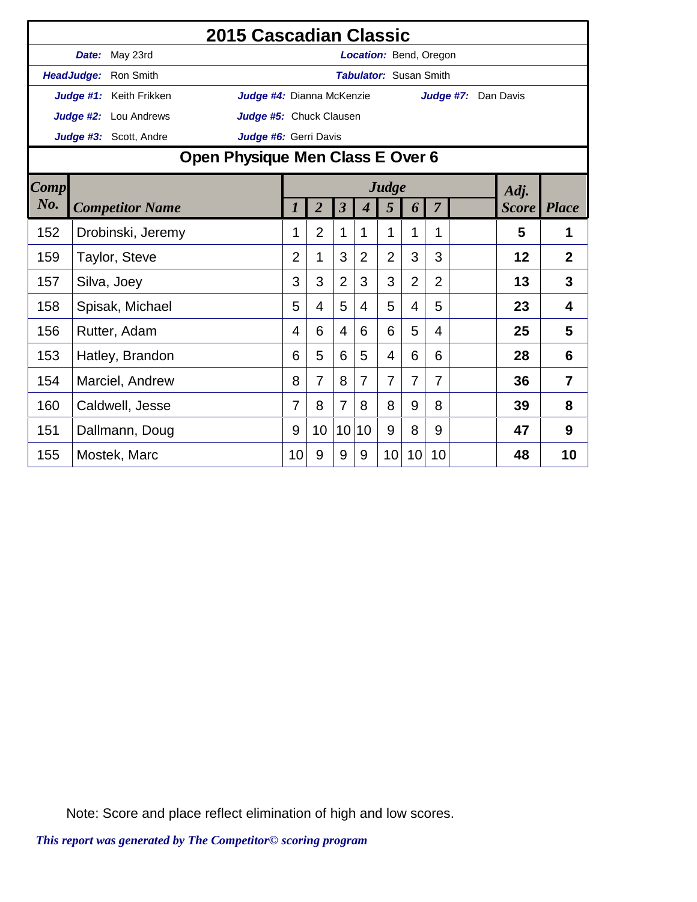|                                  |  |                         | 2015 Cascadian Classic    |                |                |                |                |                               |                |                |                     |              |                |
|----------------------------------|--|-------------------------|---------------------------|----------------|----------------|----------------|----------------|-------------------------------|----------------|----------------|---------------------|--------------|----------------|
|                                  |  | Date: May 23rd          |                           |                |                |                |                | Location: Bend, Oregon        |                |                |                     |              |                |
|                                  |  | HeadJudge: Ron Smith    |                           |                |                |                |                | <b>Tabulator: Susan Smith</b> |                |                |                     |              |                |
|                                  |  | Judge #1: Keith Frikken | Judge #4: Dianna McKenzie |                |                |                |                |                               |                |                | Judge #7: Dan Davis |              |                |
|                                  |  | Judge #2: Lou Andrews   | Judge #5: Chuck Clausen   |                |                |                |                |                               |                |                |                     |              |                |
|                                  |  | Judge #3: Scott, Andre  | Judge #6: Gerri Davis     |                |                |                |                |                               |                |                |                     |              |                |
| Open Physique Men Class E Over 6 |  |                         |                           |                |                |                |                |                               |                |                |                     |              |                |
| Comp                             |  |                         |                           |                |                |                |                | Judge                         |                |                |                     | Adj.         |                |
| No.                              |  | <b>Competitor Name</b>  |                           |                | $\overline{2}$ | $\overline{3}$ | 4              | 5                             | 6              | $\overline{7}$ |                     | <b>Score</b> | <b>Place</b>   |
| 152                              |  | Drobinski, Jeremy       |                           | 1              | $\overline{2}$ | 1              | 1              | 1                             | 1              | 1              |                     | 5            | 1              |
| 159                              |  | Taylor, Steve           |                           | $\overline{2}$ | 1              | 3              | $\overline{2}$ | $\overline{2}$                | 3              | 3              |                     | 12           | $\overline{2}$ |
| 157                              |  | Silva, Joey             |                           | 3              | 3              | $\overline{2}$ | 3              | 3                             | $\overline{2}$ | $\overline{2}$ |                     | 13           | 3              |
| 158                              |  | Spisak, Michael         |                           | 5              | 4              | 5              | 4              | 5                             | 4              | 5              |                     | 23           | 4              |
| 156                              |  | Rutter, Adam            |                           | 4              | 6              | 4              | 6              | 6                             | 5              | 4              |                     | 25           | 5              |
| 153                              |  | Hatley, Brandon         |                           | 6              | 5              | 6              | 5              | $\overline{4}$                | 6              | 6              |                     | 28           | 6              |
| 154                              |  | Marciel, Andrew         |                           | 8              | $\overline{7}$ | 8              | $\overline{7}$ | $\overline{7}$                | 7              | 7              |                     | 36           | $\overline{7}$ |
| 160                              |  | Caldwell, Jesse         |                           |                | 8              | $\overline{7}$ | 8              | 8                             | 9              | 8              |                     | 39           | 8              |
| 151                              |  | Dallmann, Doug          |                           | 9              | 10             | 10             | 10             | 9                             | 8              | 9              |                     | 47           | 9              |
| 155                              |  | Mostek, Marc            |                           | 10             | 9              | 9              | 9              | 10                            | 10             | 10             |                     | 48           | 10             |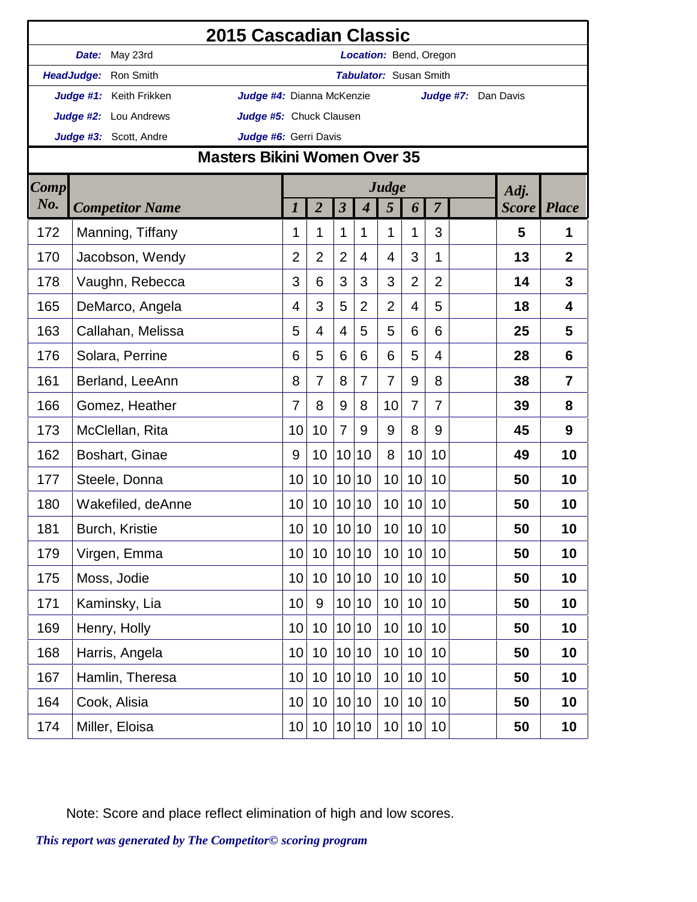|                    | 2015 Cascadian Classic<br><b>Location: Bend, Oregon</b>                                |                 |                 |                      |                             |                               |                |                |                     |               |                |  |  |  |
|--------------------|----------------------------------------------------------------------------------------|-----------------|-----------------|----------------------|-----------------------------|-------------------------------|----------------|----------------|---------------------|---------------|----------------|--|--|--|
|                    | Date: May 23rd                                                                         |                 |                 |                      |                             |                               |                |                |                     |               |                |  |  |  |
|                    | HeadJudge: Ron Smith                                                                   |                 |                 |                      |                             | <b>Tabulator: Susan Smith</b> |                |                |                     |               |                |  |  |  |
|                    | Judge #4: Dianna McKenzie<br>Judge #1: Keith Frikken                                   |                 |                 |                      |                             |                               |                |                | Judge #7: Dan Davis |               |                |  |  |  |
|                    | Judge #2: Lou Andrews<br>Judge #5: Chuck Clausen                                       |                 |                 |                      |                             |                               |                |                |                     |               |                |  |  |  |
|                    | Judge #6: Gerri Davis<br>Judge #3: Scott, Andre<br><b>Masters Bikini Women Over 35</b> |                 |                 |                      |                             |                               |                |                |                     |               |                |  |  |  |
|                    |                                                                                        |                 |                 |                      |                             |                               |                |                |                     |               |                |  |  |  |
| <b>Comp</b><br>No. | <b>Competitor Name</b>                                                                 | 1               | $\overline{2}$  | $\boldsymbol{\beta}$ | $\overline{\boldsymbol{4}}$ | Judge<br>$5\overline{)}$      | 6              | $\overline{7}$ |                     | Adj.<br>Score | <b>Place</b>   |  |  |  |
| 172                | Manning, Tiffany                                                                       | 1               | 1               | 1                    | 1                           | 1                             | 1              | 3              |                     | 5             | 1              |  |  |  |
| 170                | Jacobson, Wendy                                                                        | $\overline{2}$  | $\overline{2}$  | $\overline{2}$       | $\overline{4}$              | 4                             | 3              | 1              |                     | 13            | $\overline{2}$ |  |  |  |
| 178                | Vaughn, Rebecca                                                                        | 3               | 6               | 3                    | 3                           | 3                             | $\overline{2}$ | $\overline{2}$ |                     | 14            | 3              |  |  |  |
| 165                | DeMarco, Angela                                                                        | 4               | 3               | 5                    | $\overline{2}$              | $\overline{2}$                | 4              | 5              |                     | 18            | 4              |  |  |  |
| 163                | Callahan, Melissa                                                                      | 5               | $\overline{4}$  | 4                    | 5                           | 5                             | 6              | 6              |                     | 25            | 5              |  |  |  |
| 176                | Solara, Perrine                                                                        | 6               | 5               | 6                    | 6                           | 6                             | 5              | 4              |                     | 28            | 6              |  |  |  |
| 161                | Berland, LeeAnn                                                                        | 8               | 7               | 8                    | $\overline{7}$              | 7                             | 9              | 8              |                     | 38            | $\overline{7}$ |  |  |  |
| 166                | Gomez, Heather                                                                         | 7               | 8               | 9                    | 8                           | 10                            | 7              | 7              |                     | 39            | 8              |  |  |  |
| 173                | McClellan, Rita                                                                        | 10              | 10              | $\overline{7}$       | 9                           | 9                             | 8              | 9              |                     | 45            | 9              |  |  |  |
| 162                | Boshart, Ginae                                                                         | 9               | 10              | 10                   | 10                          | 8                             | 10             | 10             |                     | 49            | 10             |  |  |  |
| 177                | Steele, Donna                                                                          | 10              | 10              | 10                   | 10                          | 10                            | 10             | 10             |                     | 50            | 10             |  |  |  |
| 180                | Wakefiled, deAnne                                                                      | 10              | 10              |                      | 10 10                       | 10                            | 10             | 10             |                     | 50            | 10             |  |  |  |
| 181                | Burch, Kristie                                                                         | 10 <sup>1</sup> | 10 <sup>1</sup> |                      | 10 10                       | 10 <sup>1</sup>               | 10             | 10             |                     | 50            | 10             |  |  |  |
| 179                | Virgen, Emma                                                                           | 10              | 10              |                      | 10 10                       | 10 <sup>1</sup>               | 10             | 10             |                     | 50            | 10             |  |  |  |
| 175                | Moss, Jodie                                                                            | 10              | 10              |                      | 10 10                       | 10                            | 10             | 10             |                     | 50            | 10             |  |  |  |
| 171                | Kaminsky, Lia                                                                          | 10              | 9               |                      | 10 10                       | 10                            | 10             | 10             |                     | 50            | 10             |  |  |  |
| 169                | Henry, Holly                                                                           | 10              | 10              |                      | 10 10                       | 10                            | 10             | 10             |                     | 50            | 10             |  |  |  |
| 168                | Harris, Angela                                                                         | 10              | 10              | 10                   | 10                          | 10                            | 10             | 10             |                     | 50            | 10             |  |  |  |
| 167                | Hamlin, Theresa                                                                        | 10 <sup>1</sup> | 10              |                      | 10 10                       | 10                            | 10             | 10             |                     | 50            | 10             |  |  |  |
| 164                | Cook, Alisia                                                                           | 10              | 10              |                      | 10 10                       | 10                            | 10             | 10             |                     | 50            | 10             |  |  |  |
| 174                | Miller, Eloisa                                                                         | 10 <sup>1</sup> | 10 <sup>°</sup> | 10                   | 10                          | 10                            | 10             | 10             |                     | 50            | 10             |  |  |  |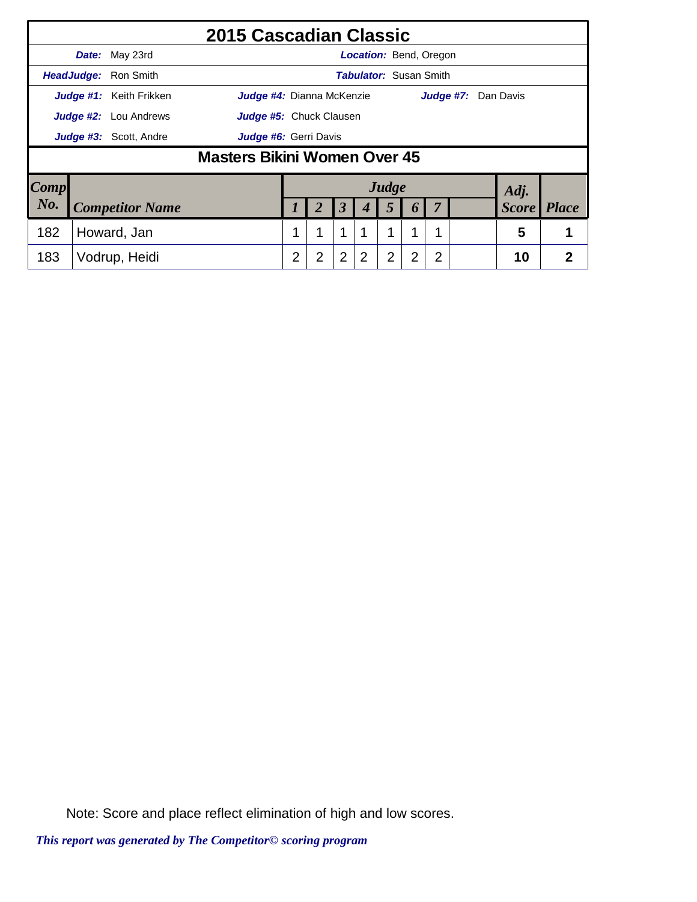|      |                                                         |                         | 2015 Cascadian Classic              |   |                |                |                               |                |   |   |           |              |              |
|------|---------------------------------------------------------|-------------------------|-------------------------------------|---|----------------|----------------|-------------------------------|----------------|---|---|-----------|--------------|--------------|
|      |                                                         | Date: May 23rd          |                                     |   |                |                | <b>Location:</b> Bend, Oregon |                |   |   |           |              |              |
|      |                                                         | HeadJudge: Ron Smith    |                                     |   |                |                | <b>Tabulator: Susan Smith</b> |                |   |   |           |              |              |
|      |                                                         | Judge #1: Keith Frikken | <b>Judge #4:</b> Dianna McKenzie    |   |                |                |                               |                |   |   | Judge #7: | Dan Davis    |              |
|      | <b>Judge #2:</b> Lou Andrews<br>Judge #5: Chuck Clausen |                         |                                     |   |                |                |                               |                |   |   |           |              |              |
|      |                                                         | Judge #3: Scott, Andre  | Judge #6: Gerri Davis               |   |                |                |                               |                |   |   |           |              |              |
|      |                                                         |                         | <b>Masters Bikini Women Over 45</b> |   |                |                |                               |                |   |   |           |              |              |
| Comp |                                                         |                         |                                     |   |                |                |                               | Judge          |   |   |           | Adj.         |              |
| No.  | <b>Competitor Name</b>                                  |                         |                                     |   | 2              | $\mathfrak{Z}$ | 4                             | 5              | 6 | 7 |           | <b>Score</b> | <b>Place</b> |
| 182  | Howard, Jan                                             |                         |                                     |   | 1              | $\mathbf 1$    | 1                             | 1              | 1 | 1 |           | 5            |              |
| 183  | Vodrup, Heidi                                           |                         |                                     | 2 | $\overline{2}$ | $\overline{2}$ | $\overline{2}$                | $\overline{2}$ | 2 | 2 |           | 10           | 2            |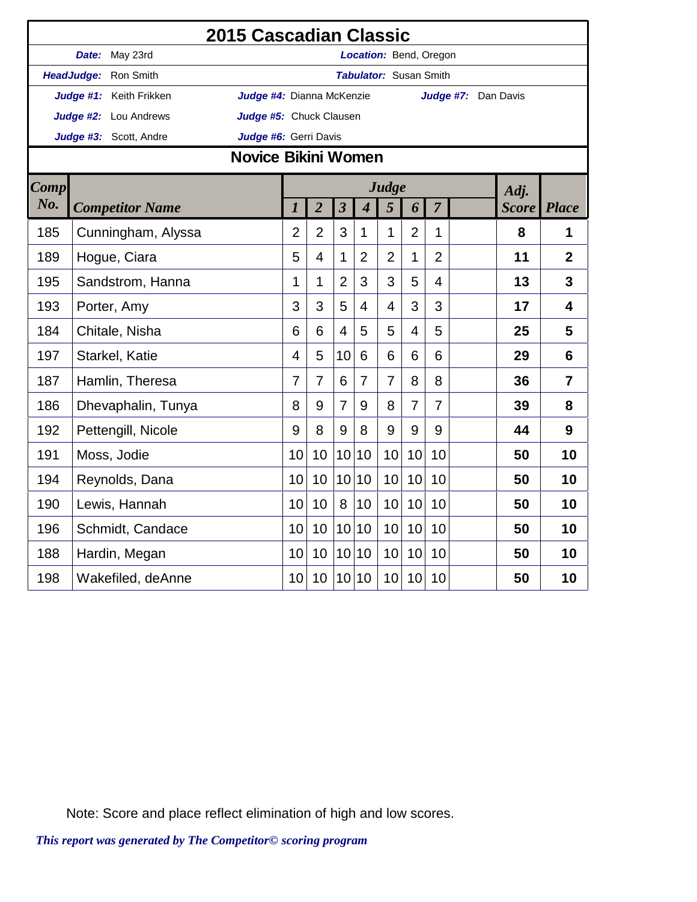|             |                         | 2015 Cascadian Classic     |                |                         |                             |                               |                |                |                     |              |                |
|-------------|-------------------------|----------------------------|----------------|-------------------------|-----------------------------|-------------------------------|----------------|----------------|---------------------|--------------|----------------|
|             | Date: May 23rd          |                            |                |                         |                             | Location: Bend, Oregon        |                |                |                     |              |                |
|             | HeadJudge: Ron Smith    |                            |                |                         |                             | <b>Tabulator: Susan Smith</b> |                |                |                     |              |                |
|             | Judge #1: Keith Frikken | Judge #4: Dianna McKenzie  |                |                         |                             |                               |                |                | Judge #7: Dan Davis |              |                |
|             | Judge #2: Lou Andrews   | Judge #5: Chuck Clausen    |                |                         |                             |                               |                |                |                     |              |                |
|             | Judge #3: Scott, Andre  | Judge #6: Gerri Davis      |                |                         |                             |                               |                |                |                     |              |                |
|             |                         | <b>Novice Bikini Women</b> |                |                         |                             |                               |                |                |                     |              |                |
| <b>Comp</b> |                         |                            |                |                         |                             | Judge                         |                |                |                     | Adj.         |                |
| No.         | <b>Competitor Name</b>  | $\boldsymbol{l}$           | $\overline{2}$ | $\overline{\mathbf{3}}$ | $\overline{\boldsymbol{4}}$ | 5                             | 6              | $\overline{7}$ |                     | <b>Score</b> | <b>Place</b>   |
| 185         | Cunningham, Alyssa      | $\overline{2}$             | $\overline{2}$ | 3                       | 1                           | 1                             | $\overline{2}$ | 1              |                     | 8            | 1              |
| 189         | Hogue, Ciara            | 5                          | 4              | 1                       | $\overline{2}$              | $\overline{2}$                | 1              | $\overline{2}$ |                     | 11           | $\mathbf{2}$   |
| 195         | Sandstrom, Hanna        | $\mathbf{1}$               | 1              | $\overline{2}$          | 3                           | 3                             | 5              | $\overline{4}$ |                     | 13           | $\overline{3}$ |
| 193         | Porter, Amy             | 3                          | 3              | 5                       | 4                           | $\overline{4}$                | 3              | 3              |                     | 17           | 4              |
| 184         | Chitale, Nisha          | 6                          | 6              | $\overline{4}$          | 5                           | 5                             | $\overline{4}$ | 5              |                     | 25           | 5              |
| 197         | Starkel, Katie          | $\overline{4}$             | 5              | 10                      | 6                           | 6                             | 6              | 6              |                     | 29           | 6              |
| 187         | Hamlin, Theresa         | $\overline{7}$             | 7              | 6                       | $\overline{7}$              | $\overline{7}$                | 8              | 8              |                     | 36           | $\overline{7}$ |
| 186         | Dhevaphalin, Tunya      | 8                          | 9              | $\overline{7}$          | 9                           | 8                             | $\overline{7}$ | $\overline{7}$ |                     | 39           | 8              |
| 192         | Pettengill, Nicole      | 9                          | 8              | 9                       | 8                           | 9                             | 9              | 9              |                     | 44           | 9              |
| 191         | Moss, Jodie             | 10                         | 10             | 10                      | 10                          | 10                            | 10             | 10             |                     | 50           | 10             |
| 194         | Reynolds, Dana          | 10                         | 10             | 10 <sup>1</sup>         | 10                          | 10                            | 10             | 10             |                     | 50           | 10             |
| 190         | Lewis, Hannah           | 10                         | 10             | 8                       | 10                          | 10                            | 10             | 10             |                     | 50           | 10             |
| 196         | Schmidt, Candace        | 10                         | 10             | 10                      | 10                          | 10                            | 10             | 10             |                     | 50           | 10             |
| 188         | Hardin, Megan           | 10                         | 10             | 10                      | 10                          | 10                            | 10             | 10             |                     | 50           | 10             |
| 198         | Wakefiled, deAnne       | 10                         | 10             | 10 <sup>1</sup>         | 10                          | 10                            | 10             | 10             |                     | 50           | 10             |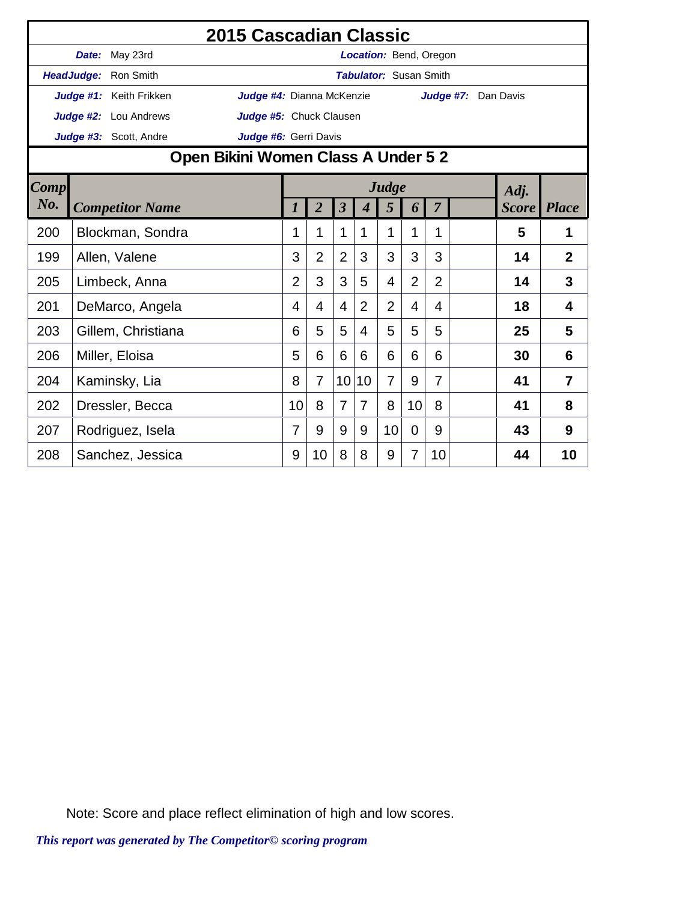|        |                                     |                         | 2015 Cascadian Classic    |                |                |                         |                  |                               |                |                |                     |              |                |
|--------|-------------------------------------|-------------------------|---------------------------|----------------|----------------|-------------------------|------------------|-------------------------------|----------------|----------------|---------------------|--------------|----------------|
|        |                                     | Date: May 23rd          |                           |                |                |                         |                  | <b>Location:</b> Bend, Oregon |                |                |                     |              |                |
|        |                                     | HeadJudge: Ron Smith    |                           |                |                |                         |                  | <b>Tabulator: Susan Smith</b> |                |                |                     |              |                |
|        |                                     | Judge #1: Keith Frikken | Judge #4: Dianna McKenzie |                |                |                         |                  |                               |                |                | Judge #7: Dan Davis |              |                |
|        |                                     | Judge #2: Lou Andrews   | Judge #5: Chuck Clausen   |                |                |                         |                  |                               |                |                |                     |              |                |
|        |                                     | Judge #3: Scott, Andre  | Judge #6: Gerri Davis     |                |                |                         |                  |                               |                |                |                     |              |                |
|        | Open Bikini Women Class A Under 5 2 |                         |                           |                |                |                         |                  |                               |                |                |                     |              |                |
| Comp   |                                     |                         |                           |                |                |                         |                  | Judge                         |                |                |                     | Adj.         |                |
| $N0$ . |                                     | <b>Competitor Name</b>  |                           | 1              | $\overline{2}$ | $\overline{\mathbf{3}}$ | $\boldsymbol{4}$ | 5                             | 6              | $\overline{7}$ |                     | <b>Score</b> | <b>Place</b>   |
| 200    |                                     | Blockman, Sondra        |                           | 1              | 1              | 1                       | 1                | 1                             | 1              | 1              |                     | 5            | 1              |
| 199    |                                     | Allen, Valene           |                           | 3              | $\overline{2}$ | $\overline{2}$          | 3                | 3                             | 3              | 3              |                     | 14           | $\overline{2}$ |
| 205    |                                     | Limbeck, Anna           |                           | $\overline{2}$ | 3              | 3                       | 5                | $\overline{4}$                | $\overline{2}$ | $\overline{2}$ |                     | 14           | 3              |
| 201    |                                     | DeMarco, Angela         |                           | 4              | 4              | $\overline{4}$          | $\overline{2}$   | $\overline{2}$                | 4              | 4              |                     | 18           | 4              |
| 203    |                                     | Gillem, Christiana      |                           | 6              | 5              | 5                       | 4                | 5                             | 5              | 5              |                     | 25           | 5              |
| 206    |                                     | Miller, Eloisa          |                           | 5              | 6              | 6                       | 6                | 6                             | 6              | 6              |                     | 30           | 6              |
| 204    |                                     | Kaminsky, Lia           |                           | 8              | $\overline{7}$ | 10                      | 10               | $\overline{7}$                | 9              | 7              |                     | 41           | $\overline{7}$ |
| 202    |                                     | Dressler, Becca         |                           | 10             | 8              | $\overline{7}$          | $\overline{7}$   | 8                             | 10             | 8              |                     | 41           | 8              |
| 207    |                                     | Rodriguez, Isela        |                           | 7              | 9              | 9                       | 9                | 10                            | 0              | 9              |                     | 43           | 9              |
| 208    |                                     | Sanchez, Jessica        |                           | 9              | 10             | 8                       | 8                | 9                             | 7              | 10             |                     | 44           | 10             |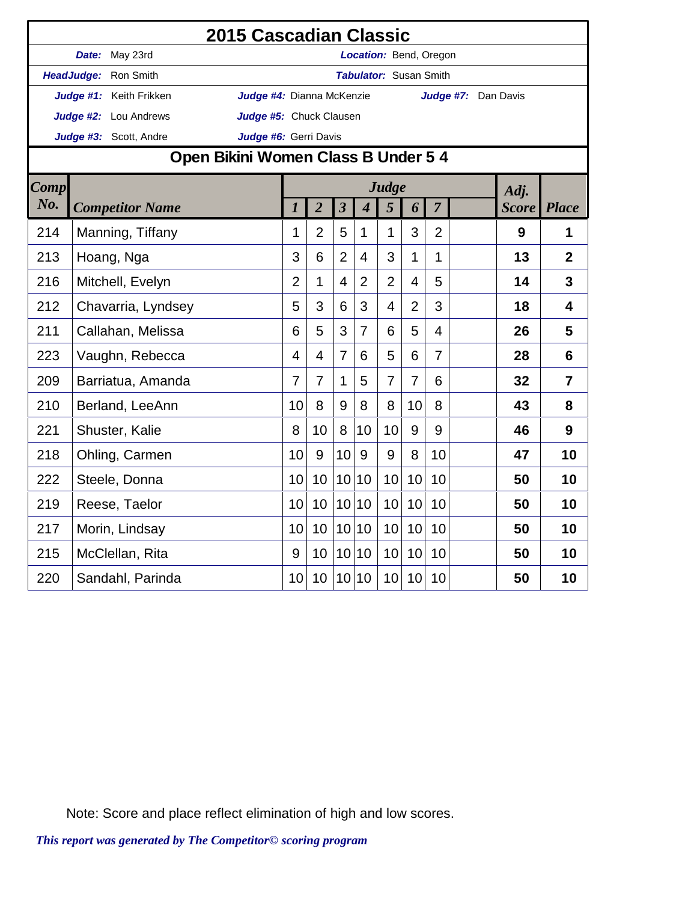|             |                                   | 2015 Cascadian Classic              |                  |                         |                         |                          |                               |                |                |                     |                    |                 |
|-------------|-----------------------------------|-------------------------------------|------------------|-------------------------|-------------------------|--------------------------|-------------------------------|----------------|----------------|---------------------|--------------------|-----------------|
|             | Date: May 23rd                    |                                     |                  |                         |                         |                          | Location: Bend, Oregon        |                |                |                     |                    |                 |
|             | HeadJudge: Ron Smith              |                                     |                  |                         |                         |                          | <b>Tabulator:</b> Susan Smith |                |                |                     |                    |                 |
|             | Judge #1: Keith Frikken           | Judge #4: Dianna McKenzie           |                  |                         |                         |                          |                               |                |                | Judge #7: Dan Davis |                    |                 |
|             | Judge #2: Lou Andrews             | Judge #5: Chuck Clausen             |                  |                         |                         |                          |                               |                |                |                     |                    |                 |
|             | Judge #3: Scott, Andre            | Judge #6: Gerri Davis               |                  |                         |                         |                          |                               |                |                |                     |                    |                 |
|             |                                   | Open Bikini Women Class B Under 5 4 |                  |                         |                         |                          |                               |                |                |                     |                    |                 |
| <b>Comp</b> |                                   |                                     |                  |                         |                         |                          | Judge                         |                |                |                     | Adj.               |                 |
| No.         | <b>Competitor Name</b>            |                                     | $\boldsymbol{l}$ | $\overline{2}$          | $\overline{\mathbf{3}}$ | $\overline{\mathcal{A}}$ | 5                             | 6              | $\overline{7}$ |                     | <b>Score</b> Place |                 |
| 214         | Manning, Tiffany                  |                                     | 1                | $\overline{2}$          | 5                       | 1                        | 1                             | 3              | $\overline{2}$ |                     | 9                  | 1               |
| 213         | Hoang, Nga                        |                                     | 3                | 6                       | $\overline{2}$          | $\overline{4}$           | 3                             | 1              | 1              |                     | 13                 | $\overline{2}$  |
| 216         | Mitchell, Evelyn                  |                                     |                  | 1                       | $\overline{4}$          | $\overline{2}$           | $\overline{2}$                | 4              | 5              |                     | 14                 | 3               |
| 212         | Chavarria, Lyndsey                |                                     | 5                | 3                       | 6                       | 3                        | 4                             | $\overline{2}$ | 3              |                     | 18                 | 4               |
| 211         | Callahan, Melissa                 |                                     | 6                | 5                       | 3                       | $\overline{7}$           | 6                             | 5              | $\overline{4}$ |                     | 26                 | 5               |
| 223         | Vaughn, Rebecca                   |                                     | $\overline{4}$   | $\overline{\mathbf{4}}$ | $\overline{7}$          | 6                        | 5                             | 6              | $\overline{7}$ |                     | 28                 | $6\phantom{1}6$ |
| 209         | Barriatua, Amanda                 |                                     | 7                | 7                       | $\mathbf{1}$            | 5                        | 7                             | 7              | 6              |                     | 32                 | $\overline{7}$  |
| 210         | Berland, LeeAnn                   |                                     | 10               | 8                       | 9                       | 8                        | 8                             | 10             | 8              |                     | 43                 | 8               |
| 221         | Shuster, Kalie                    |                                     | 8                | 10                      | 8                       | 10                       | 10                            | 9              | 9              |                     | 46                 | 9               |
| 218         | Ohling, Carmen                    |                                     | 10               | 9                       | 10                      | 9                        | 9                             | 8              | 10             |                     | 47                 | 10              |
| 222         | Steele, Donna                     |                                     | 10               | 10                      | 10 <sup>1</sup>         | 10                       | 10                            | 10             | 10             |                     | 50                 | 10              |
| 219         | Reese, Taelor                     |                                     | 10               | 10                      | 10 <sup>1</sup>         | 10                       | 10                            | 10             | 10             |                     | 50                 | 10              |
| 217         |                                   |                                     | 10               | 10                      | 10 <sup>1</sup>         | 10                       | 10                            | 10             | 10             |                     | 50                 | 10              |
| 215         | Morin, Lindsay<br>McClellan, Rita |                                     | 9                | 10                      | 10 <sup>1</sup>         | 10                       | 10                            | 10             | 10             |                     | 50                 | 10              |
| 220         | Sandahl, Parinda                  |                                     | 10               | 10                      |                         | 10 10                    | 10                            | 10             | 10             |                     | 50                 | 10              |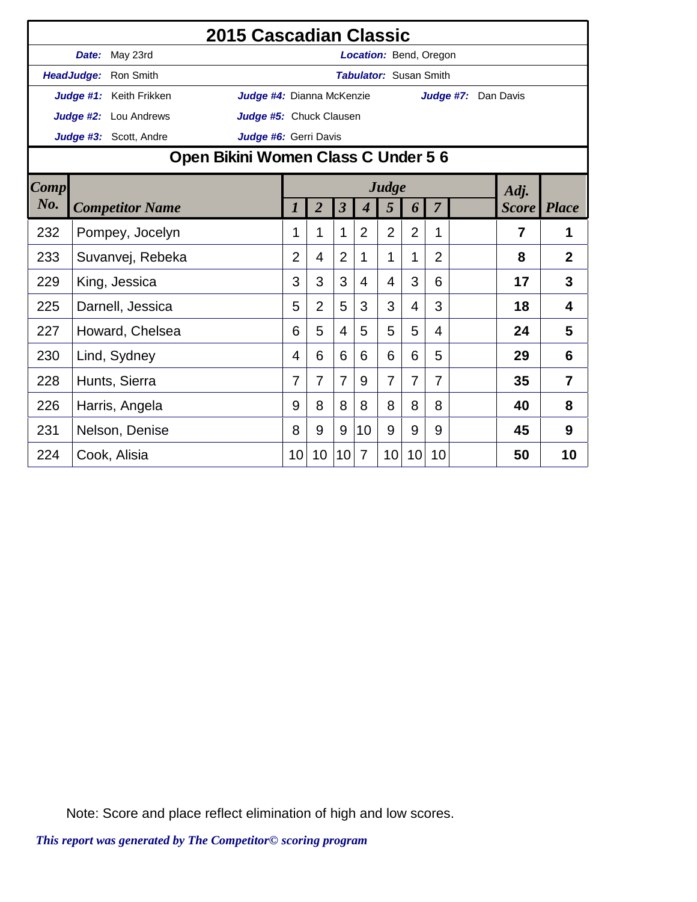|      |                                     |                              | 2015 Cascadian Classic    |                |                |                         |                  |                               |                |                |                     |                    |                |
|------|-------------------------------------|------------------------------|---------------------------|----------------|----------------|-------------------------|------------------|-------------------------------|----------------|----------------|---------------------|--------------------|----------------|
|      |                                     | Date: May 23rd               |                           |                |                |                         |                  | Location: Bend, Oregon        |                |                |                     |                    |                |
|      |                                     | HeadJudge: Ron Smith         |                           |                |                |                         |                  | <b>Tabulator: Susan Smith</b> |                |                |                     |                    |                |
|      |                                     | Judge #1: Keith Frikken      | Judge #4: Dianna McKenzie |                |                |                         |                  |                               |                |                | Judge #7: Dan Davis |                    |                |
|      |                                     | <b>Judge #2:</b> Lou Andrews | Judge #5: Chuck Clausen   |                |                |                         |                  |                               |                |                |                     |                    |                |
|      |                                     | Judge #3: Scott, Andre       | Judge #6: Gerri Davis     |                |                |                         |                  |                               |                |                |                     |                    |                |
|      | Open Bikini Women Class C Under 5 6 |                              |                           |                |                |                         |                  |                               |                |                |                     |                    |                |
| Comp |                                     |                              |                           |                |                |                         |                  | Judge                         |                |                |                     | Adj.               |                |
| No.  |                                     | <b>Competitor Name</b>       |                           | $\bm{l}$       | $\overline{2}$ | $\overline{\mathbf{3}}$ | $\boldsymbol{4}$ | 5                             | 6              | $\overline{7}$ |                     | <b>Score Place</b> |                |
| 232  |                                     | Pompey, Jocelyn              |                           | 1              | 1              | 1                       | 2                | $\overline{2}$                | $\overline{2}$ | 1              |                     | $\overline{7}$     | 1              |
| 233  |                                     | Suvanvej, Rebeka             |                           | $\overline{2}$ | 4              | $\overline{2}$          | 1                | 1                             | 1              | $\overline{2}$ |                     | 8                  | $\overline{2}$ |
| 229  |                                     | King, Jessica                |                           | 3              | 3              | 3                       | 4                | 4                             | 3              | 6              |                     | 17                 | 3              |
| 225  |                                     | Darnell, Jessica             |                           | 5              | $\overline{2}$ | 5                       | 3                | 3                             | $\overline{4}$ | 3              |                     | 18                 | 4              |
| 227  |                                     | Howard, Chelsea              |                           | 6              | 5              | 4                       | 5                | 5                             | 5              | 4              |                     | 24                 | 5              |
| 230  |                                     | Lind, Sydney                 |                           | 4              | 6              | 6                       | 6                | 6                             | 6              | 5              |                     | 29                 | 6              |
| 228  |                                     | Hunts, Sierra                |                           | 7              | $\overline{7}$ | $\overline{7}$          | 9                | $\overline{7}$                | $\overline{7}$ | 7              |                     | 35                 | 7              |
| 226  |                                     | Harris, Angela               |                           | 9              | 8              | 8                       | 8                | 8                             | 8              | 8              |                     | 40                 | 8              |
| 231  |                                     | Nelson, Denise               |                           | 8              | 9              | 9                       | 10               | 9                             | 9              | 9              |                     | 45                 | 9              |
| 224  |                                     | Cook, Alisia                 |                           | 10             | 10             | 10                      | $\overline{7}$   | 10                            | 10             | 10             |                     | 50                 | 10             |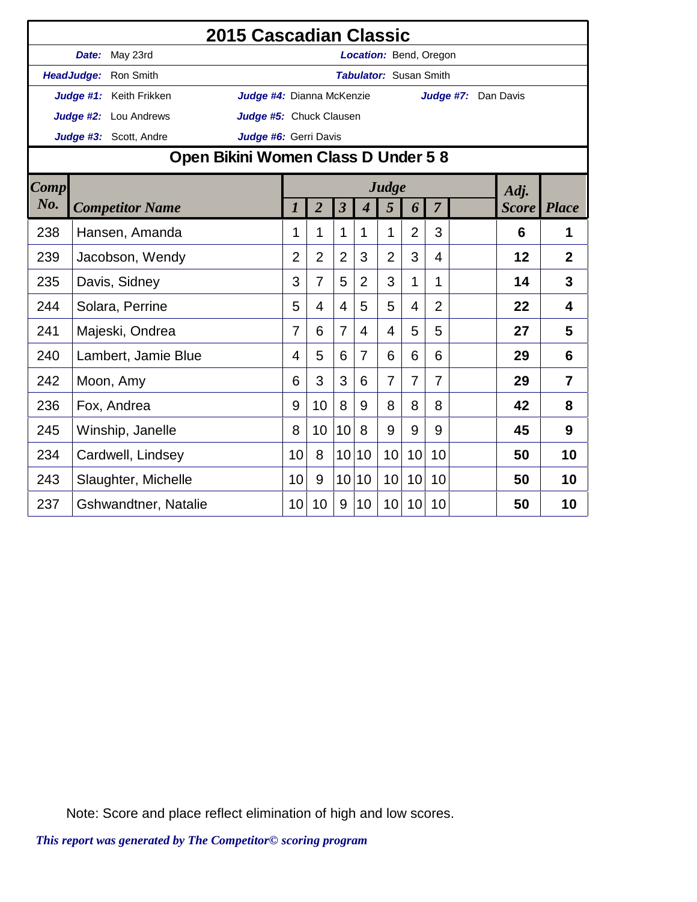|             |       |                                     | 2015 Cascadian Classic    |                 |                |                         |                |                               |                 |                |                     |              |              |
|-------------|-------|-------------------------------------|---------------------------|-----------------|----------------|-------------------------|----------------|-------------------------------|-----------------|----------------|---------------------|--------------|--------------|
|             | Date: | May 23rd                            |                           |                 |                |                         |                | Location: Bend, Oregon        |                 |                |                     |              |              |
|             |       | HeadJudge: Ron Smith                |                           |                 |                |                         |                | <b>Tabulator: Susan Smith</b> |                 |                |                     |              |              |
|             |       | Judge #1: Keith Frikken             | Judge #4: Dianna McKenzie |                 |                |                         |                |                               |                 |                | Judge #7: Dan Davis |              |              |
|             |       | Judge #2: Lou Andrews               | Judge #5: Chuck Clausen   |                 |                |                         |                |                               |                 |                |                     |              |              |
|             |       | Judge #3: Scott, Andre              | Judge #6: Gerri Davis     |                 |                |                         |                |                               |                 |                |                     |              |              |
|             |       | Open Bikini Women Class D Under 5 8 |                           |                 |                |                         |                |                               |                 |                |                     |              |              |
| <b>Comp</b> |       |                                     |                           |                 |                |                         |                | Judge                         |                 |                |                     | Adj.         |              |
| No.         |       | <b>Competitor Name</b>              |                           | 1               | $\overline{2}$ | $\overline{\mathbf{3}}$ | $\overline{4}$ | 5                             | 6               | $\overline{7}$ |                     | <b>Score</b> | <b>Place</b> |
| 238         |       | Hansen, Amanda                      |                           | 1               | 1              | 1                       | $\mathbf{1}$   | 1                             | $\overline{2}$  | 3              |                     | 6            | 1            |
| 239         |       | Jacobson, Wendy                     |                           | $\overline{2}$  | $\overline{2}$ | $\overline{2}$          | 3              | $\overline{2}$                | 3               | $\overline{4}$ |                     | 12           | $\mathbf{2}$ |
| 235         |       | Davis, Sidney                       |                           | 3               | $\overline{7}$ | 5                       | $\overline{2}$ | 3                             | 1               | 1              |                     | 14           | 3            |
| 244         |       | Solara, Perrine                     |                           | 5               | 4              | $\overline{4}$          | 5              | 5                             | $\overline{4}$  | $\overline{2}$ |                     | 22           | 4            |
| 241         |       | Majeski, Ondrea                     |                           | 7               | 6              | $\overline{7}$          | 4              | 4                             | 5               | 5              |                     | 27           | 5            |
| 240         |       | Lambert, Jamie Blue                 |                           | 4               | 5              | 6                       | $\overline{7}$ | 6                             | 6               | 6              |                     | 29           | 6            |
| 242         |       | Moon, Amy                           |                           | 6               | 3              | 3                       | 6              | $\overline{7}$                | $\overline{7}$  | 7              |                     | 29           | 7            |
| 236         |       | Fox, Andrea                         |                           | 9               | 10             | 8                       | 9              | 8                             | 8               | 8              |                     | 42           | 8            |
| 245         |       | Winship, Janelle                    |                           | 8               | 10             | 10                      | 8              | 9                             | 9               | 9              |                     | 45           | 9            |
| 234         |       | Cardwell, Lindsey                   |                           | 10              | 8              | 10                      | 10             | 10                            | 10              | 10             |                     | 50           | 10           |
| 243         |       | Slaughter, Michelle                 |                           | 10              | 9              | 10                      | 10             | 10                            | 10              | 10             |                     | 50           | 10           |
| 237         |       | <b>Gshwandtner, Natalie</b>         |                           | 10 <sup>1</sup> | 10             | 9                       | 10             | 10 <sup>1</sup>               | 10 <sup>°</sup> | 10             |                     | 50           | 10           |